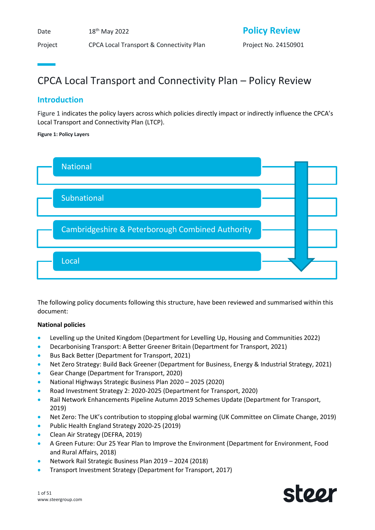Date  $18<sup>th</sup>$  May 2022

Project CPCA Local Transport & Connectivity Plan Project No. 24150901

# **Policy Review**

# CPCA Local Transport and Connectivity Plan – Policy Review

# **Introduction**

[Figure 1](#page-0-0) indicates the policy layers across which policies directly impact or indirectly influence the CPCA's Local Transport and Connectivity Plan (LTCP).

## <span id="page-0-0"></span>**Figure 1: Policy Layers**



The following policy documents following this structure, have been reviewed and summarised within this document:

## **National policies**

- Levelling up the United Kingdom (Department for Levelling Up, Housing and Communities 2022)
- Decarbonising Transport: A Better Greener Britain (Department for Transport, 2021)
- Bus Back Better (Department for Transport, 2021)
- Net Zero Strategy: Build Back Greener (Department for Business, Energy & Industrial Strategy, 2021)
- Gear Change (Department for Transport, 2020)
- National Highways Strategic Business Plan 2020 2025 (2020)
- Road Investment Strategy 2: 2020-2025 (Department for Transport, 2020)
- Rail Network Enhancements Pipeline Autumn 2019 Schemes Update (Department for Transport, 2019)
- Net Zero: The UK's contribution to stopping global warming (UK Committee on Climate Change, 2019)
- Public Health England Strategy 2020-25 (2019)
- Clean Air Strategy (DEFRA, 2019)
- A Green Future: Our 25 Year Plan to Improve the Environment (Department for Environment, Food and Rural Affairs, 2018)
- Network Rail Strategic Business Plan 2019 2024 (2018)
- Transport Investment Strategy (Department for Transport, 2017)

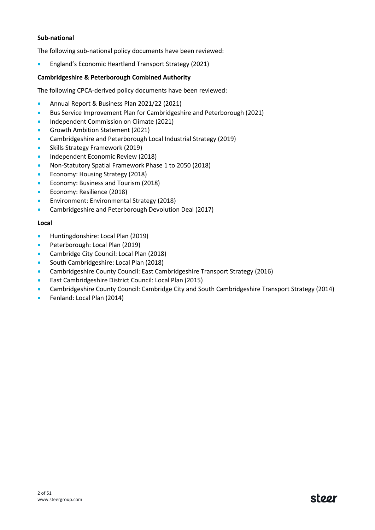## **Sub-national**

The following sub-national policy documents have been reviewed:

• England's Economic Heartland Transport Strategy (2021)

## **Cambridgeshire & Peterborough Combined Authority**

The following CPCA-derived policy documents have been reviewed:

- Annual Report & Business Plan 2021/22 (2021)
- Bus Service Improvement Plan for Cambridgeshire and Peterborough (2021)
- Independent Commission on Climate (2021)
- Growth Ambition Statement (2021)
- Cambridgeshire and Peterborough Local Industrial Strategy (2019)
- Skills Strategy Framework (2019)
- Independent Economic Review (2018)
- Non-Statutory Spatial Framework Phase 1 to 2050 (2018)
- Economy: Housing Strategy (2018)
- Economy: Business and Tourism (2018)
- Economy: Resilience (2018)
- Environment: Environmental Strategy (2018)
- Cambridgeshire and Peterborough Devolution Deal (2017)

## **Local**

- Huntingdonshire: Local Plan (2019)
- Peterborough: Local Plan (2019)
- Cambridge City Council: Local Plan (2018)
- South Cambridgeshire: Local Plan (2018)
- Cambridgeshire County Council: East Cambridgeshire Transport Strategy (2016)
- East Cambridgeshire District Council: Local Plan (2015)
- Cambridgeshire County Council: Cambridge City and South Cambridgeshire Transport Strategy (2014)
- Fenland: Local Plan (2014)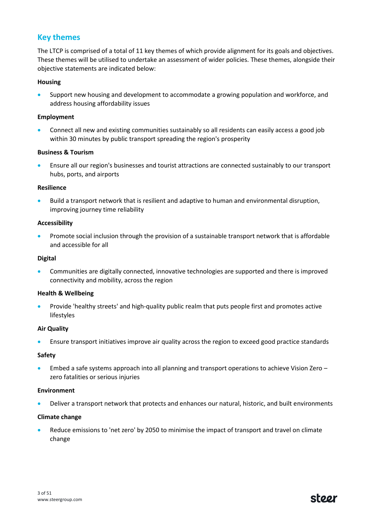## **Key themes**

The LTCP is comprised of a total of 11 key themes of which provide alignment for its goals and objectives. These themes will be utilised to undertake an assessment of wider policies. These themes, alongside their objective statements are indicated below:

## **Housing**

• Support new housing and development to accommodate a growing population and workforce, and address housing affordability issues

## **Employment**

• Connect all new and existing communities sustainably so all residents can easily access a good job within 30 minutes by public transport spreading the region's prosperity

## **Business & Tourism**

• Ensure all our region's businesses and tourist attractions are connected sustainably to our transport hubs, ports, and airports

## **Resilience**

• Build a transport network that is resilient and adaptive to human and environmental disruption, improving journey time reliability

## **Accessibility**

**•** Promote social inclusion through the provision of a sustainable transport network that is affordable and accessible for all

## **Digital**

• Communities are digitally connected, innovative technologies are supported and there is improved connectivity and mobility, across the region

## **Health & Wellbeing**

• Provide 'healthy streets' and high-quality public realm that puts people first and promotes active lifestyles

## **Air Quality**

• Ensure transport initiatives improve air quality across the region to exceed good practice standards

## **Safety**

• Embed a safe systems approach into all planning and transport operations to achieve Vision Zero – zero fatalities or serious injuries

## **Environment**

• Deliver a transport network that protects and enhances our natural, historic, and built environments

## **Climate change**

Reduce emissions to 'net zero' by 2050 to minimise the impact of transport and travel on climate change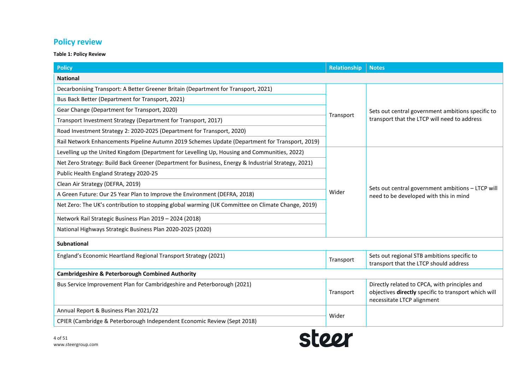# **Policy review**

## **Table 1: Policy Review**

| <b>Policy</b>                                                                                       | <b>Relationship</b> | <b>Notes</b>                                                                                                                        |  |  |
|-----------------------------------------------------------------------------------------------------|---------------------|-------------------------------------------------------------------------------------------------------------------------------------|--|--|
| <b>National</b>                                                                                     |                     |                                                                                                                                     |  |  |
| Decarbonising Transport: A Better Greener Britain (Department for Transport, 2021)                  |                     |                                                                                                                                     |  |  |
| Bus Back Better (Department for Transport, 2021)                                                    |                     |                                                                                                                                     |  |  |
| Gear Change (Department for Transport, 2020)                                                        |                     | Sets out central government ambitions specific to                                                                                   |  |  |
| Transport Investment Strategy (Department for Transport, 2017)                                      | Transport           | transport that the LTCP will need to address                                                                                        |  |  |
| Road Investment Strategy 2: 2020-2025 (Department for Transport, 2020)                              |                     |                                                                                                                                     |  |  |
| Rail Network Enhancements Pipeline Autumn 2019 Schemes Update (Department for Transport, 2019)      |                     |                                                                                                                                     |  |  |
| Levelling up the United Kingdom (Department for Levelling Up, Housing and Communities, 2022)        |                     |                                                                                                                                     |  |  |
| Net Zero Strategy: Build Back Greener (Department for Business, Energy & Industrial Strategy, 2021) |                     |                                                                                                                                     |  |  |
| Public Health England Strategy 2020-25                                                              |                     |                                                                                                                                     |  |  |
| Clean Air Strategy (DEFRA, 2019)                                                                    |                     | Sets out central government ambitions - LTCP will                                                                                   |  |  |
| A Green Future: Our 25 Year Plan to Improve the Environment (DEFRA, 2018)                           | Wider               | need to be developed with this in mind                                                                                              |  |  |
| Net Zero: The UK's contribution to stopping global warming (UK Committee on Climate Change, 2019)   |                     |                                                                                                                                     |  |  |
| Network Rail Strategic Business Plan 2019 - 2024 (2018)                                             |                     |                                                                                                                                     |  |  |
| National Highways Strategic Business Plan 2020-2025 (2020)                                          |                     |                                                                                                                                     |  |  |
| <b>Subnational</b>                                                                                  |                     |                                                                                                                                     |  |  |
| England's Economic Heartland Regional Transport Strategy (2021)                                     | Transport           | Sets out regional STB ambitions specific to<br>transport that the LTCP should address                                               |  |  |
| <b>Cambridgeshire &amp; Peterborough Combined Authority</b>                                         |                     |                                                                                                                                     |  |  |
| Bus Service Improvement Plan for Cambridgeshire and Peterborough (2021)                             | Transport           | Directly related to CPCA, with principles and<br>objectives directly specific to transport which will<br>necessitate LTCP alignment |  |  |
| Annual Report & Business Plan 2021/22                                                               | Wider               |                                                                                                                                     |  |  |
| CPIER (Cambridge & Peterborough Independent Economic Review (Sept 2018)                             |                     |                                                                                                                                     |  |  |

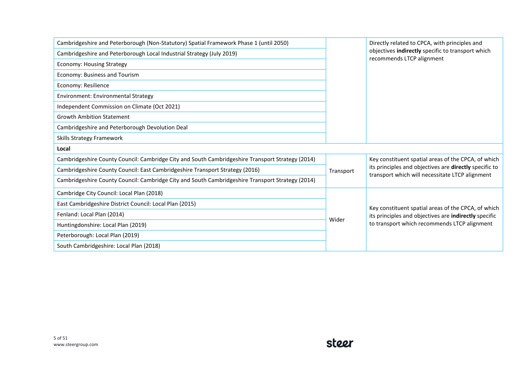| Cambridgeshire and Peterborough (Non-Statutory) Spatial Framework Phase 1 (until 2050)           |           | Directly related to CPCA, with principles and                                                             |  |  |  |
|--------------------------------------------------------------------------------------------------|-----------|-----------------------------------------------------------------------------------------------------------|--|--|--|
| Cambridgeshire and Peterborough Local Industrial Strategy (July 2019)                            |           | objectives indirectly specific to transport which<br>recommends LTCP alignment                            |  |  |  |
| <b>Economy: Housing Strategy</b>                                                                 |           |                                                                                                           |  |  |  |
| Economy: Business and Tourism                                                                    |           |                                                                                                           |  |  |  |
| Economy: Resilience                                                                              |           |                                                                                                           |  |  |  |
| Environment: Environmental Strategy                                                              |           |                                                                                                           |  |  |  |
| Independent Commission on Climate (Oct 2021)                                                     |           |                                                                                                           |  |  |  |
| <b>Growth Ambition Statement</b>                                                                 |           |                                                                                                           |  |  |  |
| Cambridgeshire and Peterborough Devolution Deal                                                  |           |                                                                                                           |  |  |  |
| Skills Strategy Framework                                                                        |           |                                                                                                           |  |  |  |
| Local                                                                                            |           |                                                                                                           |  |  |  |
| Cambridgeshire County Council: Cambridge City and South Cambridgeshire Transport Strategy (2014) |           | Key constituent spatial areas of the CPCA, of which                                                       |  |  |  |
| Cambridgeshire County Council: East Cambridgeshire Transport Strategy (2016)                     | Transport | its principles and objectives are directly specific to<br>transport which will necessitate LTCP alignment |  |  |  |
| Cambridgeshire County Council: Cambridge City and South Cambridgeshire Transport Strategy (2014) |           |                                                                                                           |  |  |  |
| Cambridge City Council: Local Plan (2018)                                                        |           |                                                                                                           |  |  |  |
| East Cambridgeshire District Council: Local Plan (2015)                                          |           | Key constituent spatial areas of the CPCA, of which                                                       |  |  |  |
| Fenland: Local Plan (2014)                                                                       |           | its principles and objectives are indirectly specific                                                     |  |  |  |
| Huntingdonshire: Local Plan (2019)                                                               | Wider     | to transport which recommends LTCP alignment                                                              |  |  |  |
| Peterborough: Local Plan (2019)                                                                  |           |                                                                                                           |  |  |  |
| South Cambridgeshire: Local Plan (2018)                                                          |           |                                                                                                           |  |  |  |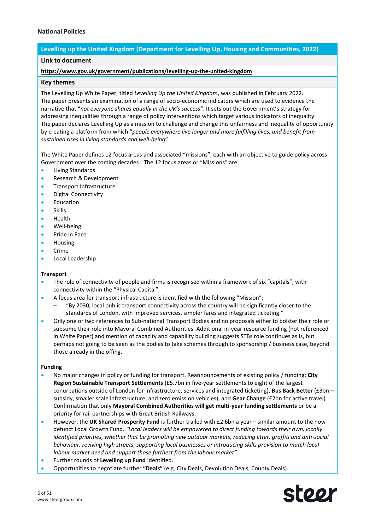## **National Policies**

## **Levelling up the United Kingdom (Department for Levelling Up, Housing and Communities, 2022)**

## **Link to document**

## **<https://www.gov.uk/government/publications/levelling-up-the-united-kingdom>**

#### **Key themes**

The Levelling Up White Paper, titled *Levelling Up the United Kingdom*, was published in February 2022. The paper presents an examination of a range of socio-economic indicators which are used to evidence the narrative that "*not everyone shares equally in the UK's success"*. It sets out the Government's strategy for addressing inequalities through a range of policy interventions which target various indicators of inequality. The paper declares Levelling Up as a mission to challenge and change this unfairness and inequality of opportunity by creating a platform from which "*people everywhere live longer and more fulfilling lives, and benefit from sustained rises in living standards and well-being*".

The White Paper defines 12 focus areas and associated "missions", each with an objective to guide policy across Government over the coming decades. The 12 focus areas or "Missions" are:

- Living Standards
- Research & Development
- Transport Infrastructure
- Digital Connectivity
- **Education**
- Skills
- Health
- Well-being
- Pride in Pace
- Housing
- Crime
- Local Leadership

#### **Transport**

- The role of connectivity of people and firms is recognised within a framework of six "capitals", with connectivity within the "Physical Capital"
- A focus area for transport infrastructure is identified with the following "Mission":
	- "By 2030, local public transport connectivity across the country will be significantly closer to the standards of London, with improved services, simpler fares and integrated ticketing."
- Only one or two references to Sub-national Transport Bodies and no proposals either to bolster their role or subsume their role into Mayoral Combined Authorities. Additional in-year resource funding (not referenced in White Paper) and mention of capacity and capability building suggests STBs role continues as is, but perhaps not going to be seen as the bodies to take schemes through to sponsorship / business case, beyond those already in the offing.

#### **Funding**

- No major changes in policy or funding for transport. Reannouncements of existing policy / funding: **City Region Sustainable Transport Settlements** (£5.7bn in five-year settlements to eight of the largest conurbations outside of London for infrastructure, services and integrated ticketing), **Bus Back Better** (£3bn – subsidy, smaller scale infrastructure, and zero emission vehicles), and **Gear Change** (£2bn for active travel). Confirmation that only **Mayoral Combined Authorities will get multi-year funding settlements** or be a priority for rail partnerships with Great British Railways.
- However, the **UK Shared Prosperity Fund** is further trailed with £2.6bn a year similar amount to the now defunct Local Growth Fund. *"Local leaders will be empowered to direct funding towards their own, locally identified priorities, whether that be promoting new outdoor markets, reducing litter, graffiti and anti-social behaviour, reviving high streets, supporting local businesses or introducing skills provision to match local labour market need and support those furthest from the labour market".*
- Further rounds of **Levelling up Fund** identified.
- Opportunities to negotiate further **"Deals"** (e.g. City Deals, Devolution Deals, County Deals).

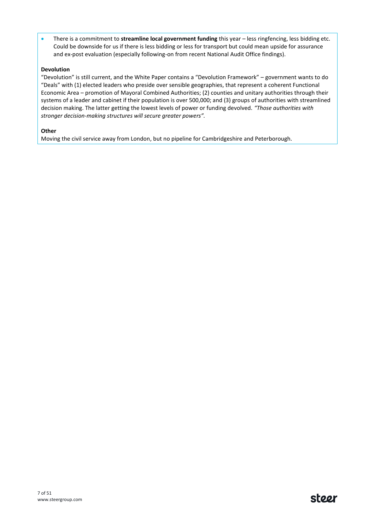• There is a commitment to **streamline local government funding** this year – less ringfencing, less bidding etc. Could be downside for us if there is less bidding or less for transport but could mean upside for assurance and ex-post evaluation (especially following-on from recent National Audit Office findings).

## **Devolution**

"Devolution" is still current, and the White Paper contains a "Devolution Framework" – government wants to do "Deals" with (1) elected leaders who preside over sensible geographies, that represent a coherent Functional Economic Area – promotion of Mayoral Combined Authorities; (2) counties and unitary authorities through their systems of a leader and cabinet if their population is over 500,000; and (3) groups of authorities with streamlined decision making. The latter getting the lowest levels of power or funding devolved. *"Those authorities with stronger decision-making structures will secure greater powers".* 

## **Other**

Moving the civil service away from London, but no pipeline for Cambridgeshire and Peterborough.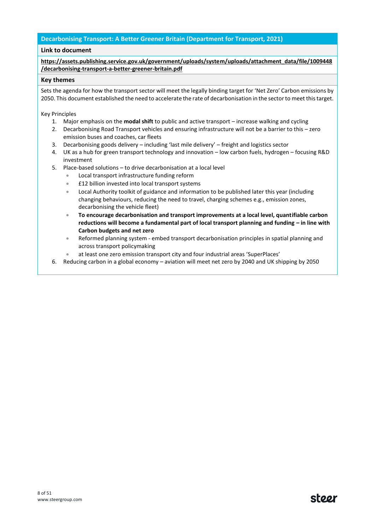## **Decarbonising Transport: A Better Greener Britain (Department for Transport, 2021)**

#### **Link to document**

**[https://assets.publishing.service.gov.uk/government/uploads/system/uploads/attachment\\_data/file/1009448](https://assets.publishing.service.gov.uk/government/uploads/system/uploads/attachment_data/file/1009448/decarbonising-transport-a-better-greener-britain.pdf) [/decarbonising-transport-a-better-greener-britain.pdf](https://assets.publishing.service.gov.uk/government/uploads/system/uploads/attachment_data/file/1009448/decarbonising-transport-a-better-greener-britain.pdf)**

#### **Key themes**

Sets the agenda for how the transport sector will meet the legally binding target for 'Net Zero' Carbon emissions by 2050. This document established the need to accelerate the rate of decarbonisation in the sector to meet this target.

Key Principles

- 1. Major emphasis on the **modal shift** to public and active transport increase walking and cycling
- 2. Decarbonising Road Transport vehicles and ensuring infrastructure will not be a barrier to this zero emission buses and coaches, car fleets
- 3. Decarbonising goods delivery including 'last mile delivery' freight and logistics sector
- 4. UK as a hub for green transport technology and innovation low carbon fuels, hydrogen focusing R&D investment
- 5. Place-based solutions to drive decarbonisation at a local level
	- Local transport infrastructure funding reform
	- £12 billion invested into local transport systems
	- Local Authority toolkit of guidance and information to be published later this year (including changing behaviours, reducing the need to travel, charging schemes e.g., emission zones, decarbonising the vehicle fleet)
	- **To encourage decarbonisation and transport improvements at a local level, quantifiable carbon reductions will become a fundamental part of local transport planning and funding – in line with Carbon budgets and net zero**
	- Reformed planning system embed transport decarbonisation principles in spatial planning and across transport policymaking
	- at least one zero emission transport city and four industrial areas 'SuperPlaces'
- 6. Reducing carbon in a global economy aviation will meet net zero by 2040 and UK shipping by 2050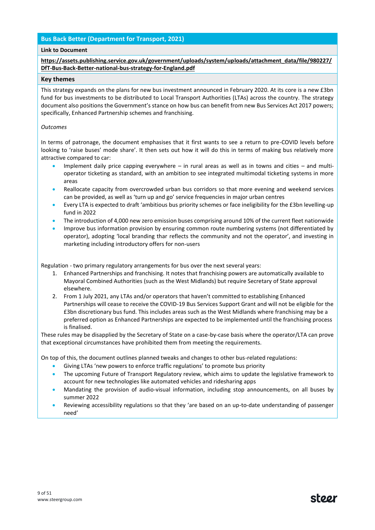## **Bus Back Better (Department for Transport, 2021)**

#### **Link to Document**

## **[https://assets.publishing.service.gov.uk/government/uploads/system/uploads/attachment\\_data/file/980227/](https://assets.publishing.service.gov.uk/government/uploads/system/uploads/attachment_data/file/980227/DfT-Bus-Back-Better-national-bus-strategy-for-England.pdf) [DfT-Bus-Back-Better-national-bus-strategy-for-England.pdf](https://assets.publishing.service.gov.uk/government/uploads/system/uploads/attachment_data/file/980227/DfT-Bus-Back-Better-national-bus-strategy-for-England.pdf)**

#### **Key themes**

This strategy expands on the plans for new bus investment announced in February 2020. At its core is a new £3bn fund for bus investments to be distributed to Local Transport Authorities (LTAs) across the country. The strategy document also positions the Government's stance on how bus can benefit from new Bus Services Act 2017 powers; specifically, Enhanced Partnership schemes and franchising.

#### *Outcomes*

In terms of patronage, the document emphasises that it first wants to see a return to pre-COVID levels before looking to 'raise buses' mode share'. It then sets out how it will do this in terms of making bus relatively more attractive compared to car:

- Implement daily price capping everywhere in rural areas as well as in towns and cities and multioperator ticketing as standard, with an ambition to see integrated multimodal ticketing systems in more areas
- Reallocate capacity from overcrowded urban bus corridors so that more evening and weekend services can be provided, as well as 'turn up and go' service frequencies in major urban centres
- Every LTA is expected to draft 'ambitious bus priority schemes or face ineligibility for the £3bn levelling-up fund in 2022
- The introduction of 4,000 new zero emission buses comprising around 10% of the current fleet nationwide
- Improve bus information provision by ensuring common route numbering systems (not differentiated by operator), adopting 'local branding thar reflects the community and not the operator', and investing in marketing including introductory offers for non-users

Regulation - two primary regulatory arrangements for bus over the next several years:

- 1. Enhanced Partnerships and franchising. It notes that franchising powers are automatically available to Mayoral Combined Authorities (such as the West Midlands) but require Secretary of State approval elsewhere.
- 2. From 1 July 2021, any LTAs and/or operators that haven't committed to establishing Enhanced Partnerships will cease to receive the COVID-19 Bus Services Support Grant and will not be eligible for the £3bn discretionary bus fund. This includes areas such as the West Midlands where franchising may be a preferred option as Enhanced Partnerships are expected to be implemented until the franchising process is finalised.

These rules may be disapplied by the Secretary of State on a case-by-case basis where the operator/LTA can prove that exceptional circumstances have prohibited them from meeting the requirements.

On top of this, the document outlines planned tweaks and changes to other bus-related regulations:

- Giving LTAs 'new powers to enforce traffic regulations' to promote bus priority
- The upcoming Future of Transport Regulatory review, which aims to update the legislative framework to account for new technologies like automated vehicles and ridesharing apps
- Mandating the provision of audio-visual information, including stop announcements, on all buses by summer 2022
- Reviewing accessibility regulations so that they 'are based on an up-to-date understanding of passenger need'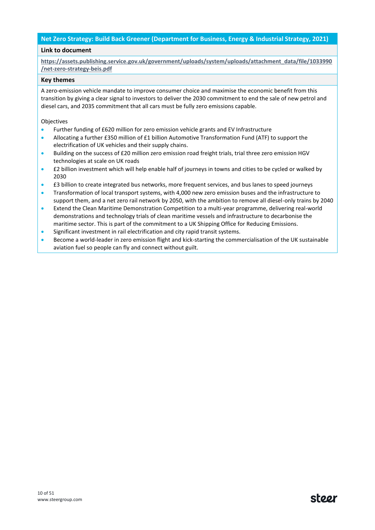## **Net Zero Strategy: Build Back Greener (Department for Business, Energy & Industrial Strategy, 2021)**

#### **Link to document**

**[https://assets.publishing.service.gov.uk/government/uploads/system/uploads/attachment\\_data/file/1033990](https://assets.publishing.service.gov.uk/government/uploads/system/uploads/attachment_data/file/1033990/net-zero-strategy-beis.pdf) [/net-zero-strategy-beis.pdf](https://assets.publishing.service.gov.uk/government/uploads/system/uploads/attachment_data/file/1033990/net-zero-strategy-beis.pdf)**

#### **Key themes**

A zero-emission vehicle mandate to improve consumer choice and maximise the economic benefit from this transition by giving a clear signal to investors to deliver the 2030 commitment to end the sale of new petrol and diesel cars, and 2035 commitment that all cars must be fully zero emissions capable.

#### Objectives

- Further funding of £620 million for zero emission vehicle grants and EV Infrastructure
- Allocating a further £350 million of £1 billion Automotive Transformation Fund (ATF) to support the electrification of UK vehicles and their supply chains.
- Building on the success of £20 million zero emission road freight trials, trial three zero emission HGV technologies at scale on UK roads
- £2 billion investment which will help enable half of journeys in towns and cities to be cycled or walked by 2030
- £3 billion to create integrated bus networks, more frequent services, and bus lanes to speed journeys
- Transformation of local transport systems, with 4,000 new zero emission buses and the infrastructure to support them, and a net zero rail network by 2050, with the ambition to remove all diesel-only trains by 2040
- Extend the Clean Maritime Demonstration Competition to a multi-year programme, delivering real-world demonstrations and technology trials of clean maritime vessels and infrastructure to decarbonise the maritime sector. This is part of the commitment to a UK Shipping Office for Reducing Emissions.
- Significant investment in rail electrification and city rapid transit systems.
- Become a world-leader in zero emission flight and kick-starting the commercialisation of the UK sustainable aviation fuel so people can fly and connect without guilt.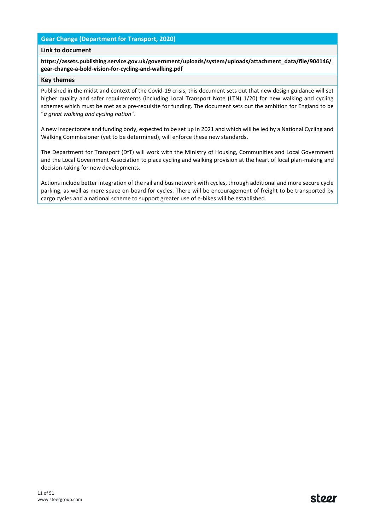## **Gear Change (Department for Transport, 2020)**

#### **Link to document**

**[https://assets.publishing.service.gov.uk/government/uploads/system/uploads/attachment\\_data/file/904146/](https://assets.publishing.service.gov.uk/government/uploads/system/uploads/attachment_data/file/904146/gear-change-a-bold-vision-for-cycling-and-walking.pdf) [gear-change-a-bold-vision-for-cycling-and-walking.pdf](https://assets.publishing.service.gov.uk/government/uploads/system/uploads/attachment_data/file/904146/gear-change-a-bold-vision-for-cycling-and-walking.pdf)**

#### **Key themes**

Published in the midst and context of the Covid-19 crisis, this document sets out that new design guidance will set higher quality and safer requirements (including Local Transport Note (LTN) 1/20) for new walking and cycling schemes which must be met as a pre-requisite for funding. The document sets out the ambition for England to be "*a great walking and cycling nation*".

A new inspectorate and funding body, expected to be set up in 2021 and which will be led by a National Cycling and Walking Commissioner (yet to be determined), will enforce these new standards.

The Department for Transport (DfT) will work with the Ministry of Housing, Communities and Local Government and the Local Government Association to place cycling and walking provision at the heart of local plan-making and decision-taking for new developments.

Actions include better integration of the rail and bus network with cycles, through additional and more secure cycle parking, as well as more space on-board for cycles. There will be encouragement of freight to be transported by cargo cycles and a national scheme to support greater use of e-bikes will be established.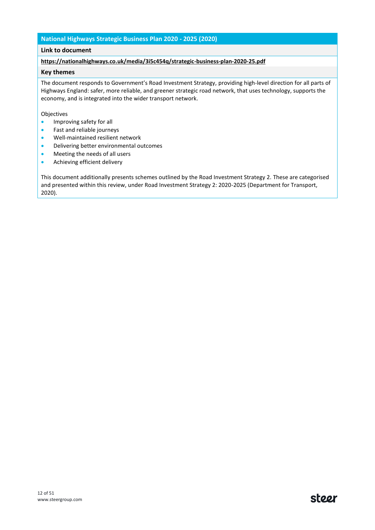## **National Highways Strategic Business Plan 2020 - 2025 (2020)**

## **Link to document**

#### **<https://nationalhighways.co.uk/media/3i5c454q/strategic-business-plan-2020-25.pdf>**

## **Key themes**

The document responds to Government's Road Investment Strategy, providing high-level direction for all parts of Highways England: safer, more reliable, and greener strategic road network, that uses technology, supports the economy, and is integrated into the wider transport network.

#### Objectives

- Improving safety for all
- Fast and reliable journeys
- Well-maintained resilient network
- Delivering better environmental outcomes
- Meeting the needs of all users
- Achieving efficient delivery

This document additionally presents schemes outlined by the Road Investment Strategy 2. These are categorised and presented within this review, under Road Investment Strategy 2: 2020-2025 (Department for Transport, 2020).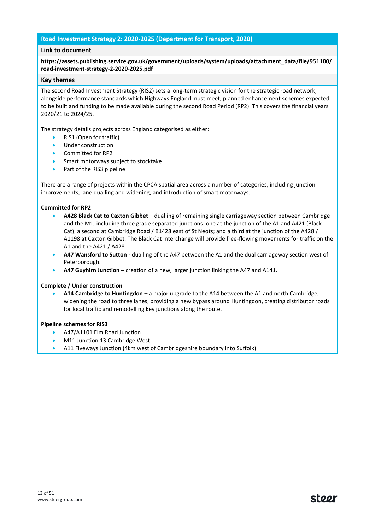## **Road Investment Strategy 2: 2020-2025 (Department for Transport, 2020)**

## **Link to document**

**[https://assets.publishing.service.gov.uk/government/uploads/system/uploads/attachment\\_data/file/951100/](https://assets.publishing.service.gov.uk/government/uploads/system/uploads/attachment_data/file/951100/road-investment-strategy-2-2020-2025.pdf) [road-investment-strategy-2-2020-2025.pdf](https://assets.publishing.service.gov.uk/government/uploads/system/uploads/attachment_data/file/951100/road-investment-strategy-2-2020-2025.pdf)**

#### **Key themes**

The second Road Investment Strategy (RIS2) sets a long-term strategic vision for the strategic road network, alongside performance standards which Highways England must meet, planned enhancement schemes expected to be built and funding to be made available during the second Road Period (RP2). This covers the financial years 2020/21 to 2024/25.

The strategy details projects across England categorised as either:

- RIS1 (Open for traffic)
- Under construction
- Committed for RP2
- Smart motorways subject to stocktake
- Part of the RIS3 pipeline

There are a range of projects within the CPCA spatial area across a number of categories, including junction improvements, lane dualling and widening, and introduction of smart motorways.

#### **Committed for RP2**

- **A428 Black Cat to Caxton Gibbet –** dualling of remaining single carriageway section between Cambridge and the M1, including three grade separated junctions: one at the junction of the A1 and A421 (Black Cat); a second at Cambridge Road / B1428 east of St Neots; and a third at the junction of the A428 / A1198 at Caxton Gibbet. The Black Cat interchange will provide free-flowing movements for traffic on the A1 and the A421 / A428.
- **A47 Wansford to Sutton -** dualling of the A47 between the A1 and the dual carriageway section west of Peterborough.
- **A47 Guyhirn Junction –** creation of a new, larger junction linking the A47 and A141.

#### **Complete / Under construction**

• **A14 Cambridge to Huntingdon –** a major upgrade to the A14 between the A1 and north Cambridge, widening the road to three lanes, providing a new bypass around Huntingdon, creating distributor roads for local traffic and remodelling key junctions along the route.

#### **Pipeline schemes for RIS3**

- A47/A1101 Elm Road Junction
- M11 Junction 13 Cambridge West
- A11 Fiveways Junction (4km west of Cambridgeshire boundary into Suffolk)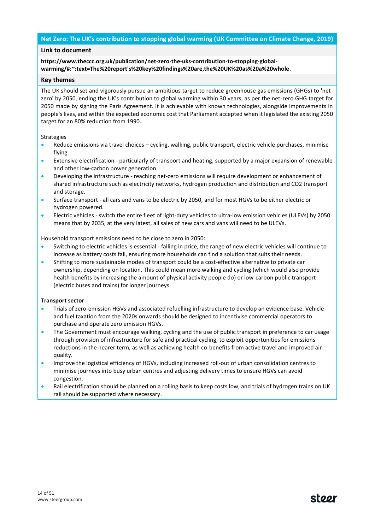## **Net Zero: The UK's contribution to stopping global warming (UK Committee on Climate Change, 2019)**

#### **Link to document**

## **[https://www.theccc.org.uk/publication/net-zero-the-uks-contribution-to-stopping-global](https://www.theccc.org.uk/publication/net-zero-the-uks-contribution-to-stopping-global-warming/#:~:text=The%20report)[warming/#:~:text=The%20report's%20key%20findings%20are,the%20UK%20as%20a%20whole](https://www.theccc.org.uk/publication/net-zero-the-uks-contribution-to-stopping-global-warming/#:~:text=The%20report)**.

#### **Key themes**

The UK should set and vigorously pursue an ambitious target to reduce greenhouse gas emissions (GHGs) to 'netzero' by 2050, ending the UK's contribution to global warming within 30 years, as per the net-zero GHG target for 2050 made by signing the Paris Agreement. It is achievable with known technologies, alongside improvements in people's lives, and within the expected economic cost that Parliament accepted when it legislated the existing 2050 target for an 80% reduction from 1990.

#### Strategies

- Reduce emissions via travel choices cycling, walking, public transport, electric vehicle purchases, minimise flying
- Extensive electrification particularly of transport and heating, supported by a major expansion of renewable and other low-carbon power generation.
- Developing the infrastructure reaching net-zero emissions will require development or enhancement of shared infrastructure such as electricity networks, hydrogen production and distribution and CO2 transport and storage.
- Surface transport all cars and vans to be electric by 2050, and for most HGVs to be either electric or hydrogen powered.
- Electric vehicles switch the entire fleet of light-duty vehicles to ultra-low emission vehicles (ULEVs) by 2050 means that by 2035, at the very latest, all sales of new cars and vans will need to be ULEVs.

Household transport emissions need to be close to zero in 2050:

- Switching to electric vehicles is essential falling in price, the range of new electric vehicles will continue to increase as battery costs fall, ensuring more households can find a solution that suits their needs.
- Shifting to more sustainable modes of transport could be a cost-effective alternative to private car ownership, depending on location. This could mean more walking and cycling (which would also provide health benefits by increasing the amount of physical activity people do) or low-carbon public transport (electric buses and trains) for longer journeys.

#### **Transport sector**

- Trials of zero-emission HGVs and associated refuelling infrastructure to develop an evidence base. Vehicle and fuel taxation from the 2020s onwards should be designed to incentivise commercial operators to purchase and operate zero emission HGVs.
- The Government must encourage walking, cycling and the use of public transport in preference to car usage through provision of infrastructure for safe and practical cycling, to exploit opportunities for emissions reductions in the nearer term, as well as achieving health co-benefits from active travel and improved air quality.
- Improve the logistical efficiency of HGVs, including increased roll-out of urban consolidation centres to minimise journeys into busy urban centres and adjusting delivery times to ensure HGVs can avoid congestion.
- Rail electrification should be planned on a rolling basis to keep costs low, and trials of hydrogen trains on UK rail should be supported where necessary.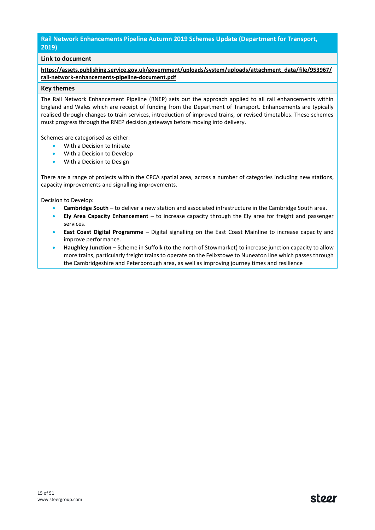## **Rail Network Enhancements Pipeline Autumn 2019 Schemes Update (Department for Transport, 2019)**

## **Link to document**

**[https://assets.publishing.service.gov.uk/government/uploads/system/uploads/attachment\\_data/file/953967/](https://assets.publishing.service.gov.uk/government/uploads/system/uploads/attachment_data/file/953967/rail-network-enhancements-pipeline-document.pdf) [rail-network-enhancements-pipeline-document.pdf](https://assets.publishing.service.gov.uk/government/uploads/system/uploads/attachment_data/file/953967/rail-network-enhancements-pipeline-document.pdf)**

#### **Key themes**

The Rail Network Enhancement Pipeline (RNEP) sets out the approach applied to all rail enhancements within England and Wales which are receipt of funding from the Department of Transport. Enhancements are typically realised through changes to train services, introduction of improved trains, or revised timetables. These schemes must progress through the RNEP decision gateways before moving into delivery.

Schemes are categorised as either:

- With a Decision to Initiate
- With a Decision to Develop
- With a Decision to Design

There are a range of projects within the CPCA spatial area, across a number of categories including new stations, capacity improvements and signalling improvements.

Decision to Develop:

- **Cambridge South –** to deliver a new station and associated infrastructure in the Cambridge South area.
- **Ely Area Capacity Enhancement** to increase capacity through the Ely area for freight and passenger services.
- **East Coast Digital Programme –** Digital signalling on the East Coast Mainline to increase capacity and improve performance.
- **Haughley Junction**  Scheme in Suffolk (to the north of Stowmarket) to increase junction capacity to allow more trains, particularly freight trains to operate on the Felixstowe to Nuneaton line which passes through the Cambridgeshire and Peterborough area, as well as improving journey times and resilience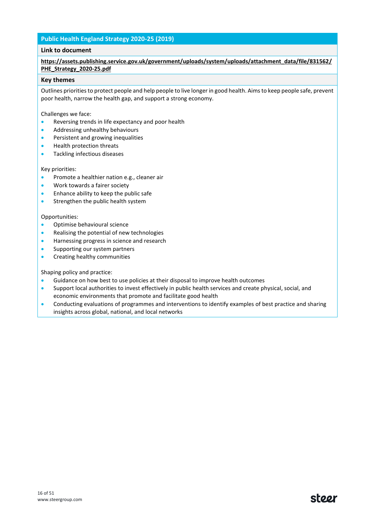## **Public Health England Strategy 2020-25 (2019)**

## **Link to document**

## **[https://assets.publishing.service.gov.uk/government/uploads/system/uploads/attachment\\_data/file/831562/](https://assets.publishing.service.gov.uk/government/uploads/system/uploads/attachment_data/file/831562/PHE_Strategy_2020-25.pdf) [PHE\\_Strategy\\_2020-25.pdf](https://assets.publishing.service.gov.uk/government/uploads/system/uploads/attachment_data/file/831562/PHE_Strategy_2020-25.pdf)**

#### **Key themes**

Outlines priorities to protect people and help people to live longer in good health. Aims to keep people safe, prevent poor health, narrow the health gap, and support a strong economy.

Challenges we face:

- Reversing trends in life expectancy and poor health
- Addressing unhealthy behaviours
- Persistent and growing inequalities
- Health protection threats
- Tackling infectious diseases

Key priorities:

- Promote a healthier nation e.g., cleaner air
- Work towards a fairer society
- Enhance ability to keep the public safe
- Strengthen the public health system

#### Opportunities:

- Optimise behavioural science
- Realising the potential of new technologies
- Harnessing progress in science and research
- Supporting our system partners
- Creating healthy communities

Shaping policy and practice:

- Guidance on how best to use policies at their disposal to improve health outcomes
- Support local authorities to invest effectively in public health services and create physical, social, and economic environments that promote and facilitate good health
- Conducting evaluations of programmes and interventions to identify examples of best practice and sharing insights across global, national, and local networks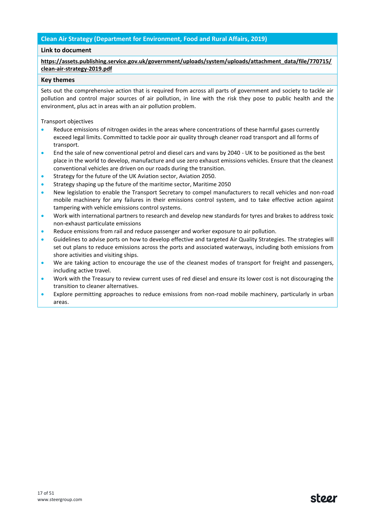## **Clean Air Strategy (Department for Environment, Food and Rural Affairs, 2019)**

## **Link to document**

**[https://assets.publishing.service.gov.uk/government/uploads/system/uploads/attachment\\_data/file/770715/](https://assets.publishing.service.gov.uk/government/uploads/system/uploads/attachment_data/file/770715/clean-air-strategy-2019.pdf) [clean-air-strategy-2019.pdf](https://assets.publishing.service.gov.uk/government/uploads/system/uploads/attachment_data/file/770715/clean-air-strategy-2019.pdf)**

## **Key themes**

Sets out the comprehensive action that is required from across all parts of government and society to tackle air pollution and control major sources of air pollution, in line with the risk they pose to public health and the environment, plus act in areas with an air pollution problem.

Transport objectives

- Reduce emissions of nitrogen oxides in the areas where concentrations of these harmful gases currently exceed legal limits. Committed to tackle poor air quality through cleaner road transport and all forms of transport.
- End the sale of new conventional petrol and diesel cars and vans by 2040 UK to be positioned as the best place in the world to develop, manufacture and use zero exhaust emissions vehicles. Ensure that the cleanest conventional vehicles are driven on our roads during the transition.
- Strategy for the future of the UK Aviation sector, Aviation 2050.
- Strategy shaping up the future of the maritime sector, Maritime 2050
- New legislation to enable the Transport Secretary to compel manufacturers to recall vehicles and non-road mobile machinery for any failures in their emissions control system, and to take effective action against tampering with vehicle emissions control systems.
- Work with international partners to research and develop new standards for tyres and brakes to address toxic non-exhaust particulate emissions
- Reduce emissions from rail and reduce passenger and worker exposure to air pollution.
- Guidelines to advise ports on how to develop effective and targeted Air Quality Strategies. The strategies will set out plans to reduce emissions across the ports and associated waterways, including both emissions from shore activities and visiting ships.
- We are taking action to encourage the use of the cleanest modes of transport for freight and passengers, including active travel.
- Work with the Treasury to review current uses of red diesel and ensure its lower cost is not discouraging the transition to cleaner alternatives.
- Explore permitting approaches to reduce emissions from non-road mobile machinery, particularly in urban areas.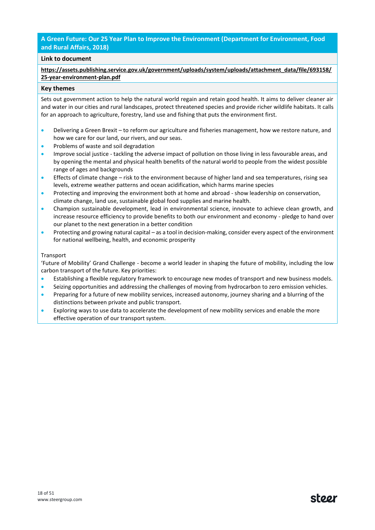## **A Green Future: Our 25 Year Plan to Improve the Environment (Department for Environment, Food and Rural Affairs, 2018)**

## **Link to document**

**[https://assets.publishing.service.gov.uk/government/uploads/system/uploads/attachment\\_data/file/693158/](https://assets.publishing.service.gov.uk/government/uploads/system/uploads/attachment_data/file/693158/25-year-environment-plan.pdf) [25-year-environment-plan.pdf](https://assets.publishing.service.gov.uk/government/uploads/system/uploads/attachment_data/file/693158/25-year-environment-plan.pdf)**

#### **Key themes**

Sets out government action to help the natural world regain and retain good health. It aims to deliver cleaner air and water in our cities and rural landscapes, protect threatened species and provide richer wildlife habitats. It calls for an approach to agriculture, forestry, land use and fishing that puts the environment first.

- Delivering a Green Brexit to reform our agriculture and fisheries management, how we restore nature, and how we care for our land, our rivers, and our seas.
- Problems of waste and soil degradation
- Improve social justice tackling the adverse impact of pollution on those living in less favourable areas, and by opening the mental and physical health benefits of the natural world to people from the widest possible range of ages and backgrounds
- Effects of climate change risk to the environment because of higher land and sea temperatures, rising sea levels, extreme weather patterns and ocean acidification, which harms marine species
- Protecting and improving the environment both at home and abroad show leadership on conservation, climate change, land use, sustainable global food supplies and marine health.
- Champion sustainable development, lead in environmental science, innovate to achieve clean growth, and increase resource efficiency to provide benefits to both our environment and economy - pledge to hand over our planet to the next generation in a better condition
- Protecting and growing natural capital as a tool in decision-making, consider every aspect of the environment for national wellbeing, health, and economic prosperity

#### Transport

'Future of Mobility' Grand Challenge - become a world leader in shaping the future of mobility, including the low carbon transport of the future. Key priorities:

- Establishing a flexible regulatory framework to encourage new modes of transport and new business models.
- Seizing opportunities and addressing the challenges of moving from hydrocarbon to zero emission vehicles.
- Preparing for a future of new mobility services, increased autonomy, journey sharing and a blurring of the distinctions between private and public transport.
- Exploring ways to use data to accelerate the development of new mobility services and enable the more effective operation of our transport system.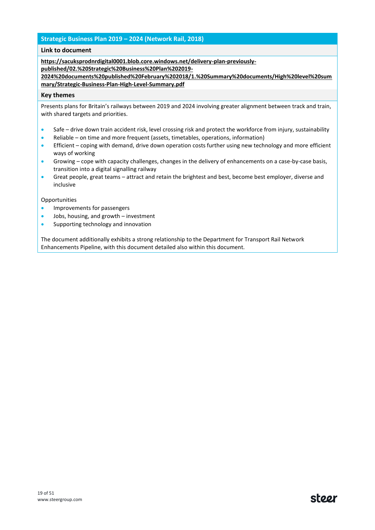## **Strategic Business Plan 2019 – 2024 (Network Rail, 2018)**

#### **Link to document**

**[https://sacuksprodnrdigital0001.blob.core.windows.net/delivery-plan-previously-](https://sacuksprodnrdigital0001.blob.core.windows.net/delivery-plan-previously-published/02.%20Strategic%20Business%20Plan%202019-2024%20documents%20published%20February%202018/1.%20Summary%20documents/High%20level%20summary/Strategic-Business-Plan-High-Level-Summary.pdf)**

**[published/02.%20Strategic%20Business%20Plan%202019-](https://sacuksprodnrdigital0001.blob.core.windows.net/delivery-plan-previously-published/02.%20Strategic%20Business%20Plan%202019-2024%20documents%20published%20February%202018/1.%20Summary%20documents/High%20level%20summary/Strategic-Business-Plan-High-Level-Summary.pdf)**

**[2024%20documents%20published%20February%202018/1.%20Summary%20documents/High%20level%20sum](https://sacuksprodnrdigital0001.blob.core.windows.net/delivery-plan-previously-published/02.%20Strategic%20Business%20Plan%202019-2024%20documents%20published%20February%202018/1.%20Summary%20documents/High%20level%20summary/Strategic-Business-Plan-High-Level-Summary.pdf) [mary/Strategic-Business-Plan-High-Level-Summary.pdf](https://sacuksprodnrdigital0001.blob.core.windows.net/delivery-plan-previously-published/02.%20Strategic%20Business%20Plan%202019-2024%20documents%20published%20February%202018/1.%20Summary%20documents/High%20level%20summary/Strategic-Business-Plan-High-Level-Summary.pdf)**

#### **Key themes**

Presents plans for Britain's railways between 2019 and 2024 involving greater alignment between track and train, with shared targets and priorities.

- Safe drive down train accident risk, level crossing risk and protect the workforce from injury, sustainability
- Reliable on time and more frequent (assets, timetables, operations, information)
- Efficient coping with demand, drive down operation costs further using new technology and more efficient ways of working
- Growing cope with capacity challenges, changes in the delivery of enhancements on a case-by-case basis, transition into a digital signalling railway
- Great people, great teams attract and retain the brightest and best, become best employer, diverse and inclusive

#### **Opportunities**

- Improvements for passengers
- Jobs, housing, and growth investment
- Supporting technology and innovation

The document additionally exhibits a strong relationship to the Department for Transport Rail Network Enhancements Pipeline, with this document detailed also within this document.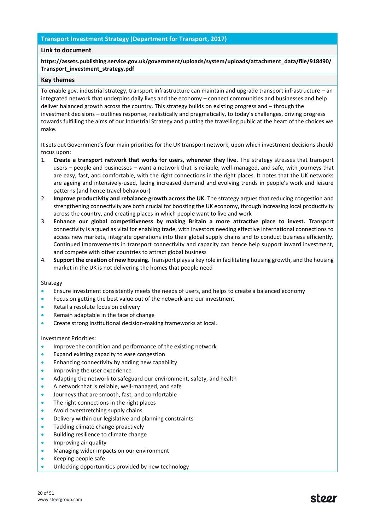## **Transport Investment Strategy (Department for Transport, 2017)**

## **Link to document**

## **[https://assets.publishing.service.gov.uk/government/uploads/system/uploads/attachment\\_data/file/918490/](https://assets.publishing.service.gov.uk/government/uploads/system/uploads/attachment_data/file/918490/Transport_investment_strategy.pdf) [Transport\\_investment\\_strategy.pdf](https://assets.publishing.service.gov.uk/government/uploads/system/uploads/attachment_data/file/918490/Transport_investment_strategy.pdf)**

#### **Key themes**

To enable gov. industrial strategy, transport infrastructure can maintain and upgrade transport infrastructure – an integrated network that underpins daily lives and the economy – connect communities and businesses and help deliver balanced growth across the country. This strategy builds on existing progress and – through the investment decisions – outlines response, realistically and pragmatically, to today's challenges, driving progress towards fulfilling the aims of our Industrial Strategy and putting the travelling public at the heart of the choices we make.

It sets out Government's four main priorities for the UK transport network, upon which investment decisions should focus upon:

- 1. **Create a transport network that works for users, wherever they live**. The strategy stresses that transport users – people and businesses – want a network that is reliable, well-managed, and safe, with journeys that are easy, fast, and comfortable, with the right connections in the right places. It notes that the UK networks are ageing and intensively-used, facing increased demand and evolving trends in people's work and leisure patterns (and hence travel behaviour)
- 2. **Improve productivity and rebalance growth across the UK.** The strategy argues that reducing congestion and strengthening connectivity are both crucial for boosting the UK economy, through increasing local productivity across the country, and creating places in which people want to live and work
- 3. **Enhance our global competitiveness by making Britain a more attractive place to invest.** Transport connectivity is argued as vital for enabling trade, with investors needing effective international connections to access new markets, integrate operations into their global supply chains and to conduct business efficiently. Continued improvements in transport connectivity and capacity can hence help support inward investment, and compete with other countries to attract global business
- 4. **Support the creation of new housing.** Transport plays a key role in facilitating housing growth, and the housing market in the UK is not delivering the homes that people need

#### Strategy

- Ensure investment consistently meets the needs of users, and helps to create a balanced economy
- Focus on getting the best value out of the network and our investment
- Retail a resolute focus on delivery
- Remain adaptable in the face of change
- Create strong institutional decision-making frameworks at local.

#### Investment Priorities:

- Improve the condition and performance of the existing network
- Expand existing capacity to ease congestion
- Enhancing connectivity by adding new capability
- Improving the user experience
- Adapting the network to safeguard our environment, safety, and health
- A network that is reliable, well-managed, and safe
- Journeys that are smooth, fast, and comfortable
- The right connections in the right places
- Avoid overstretching supply chains
- Delivery within our legislative and planning constraints
- Tackling climate change proactively
- Building resilience to climate change
- Improving air quality
- Managing wider impacts on our environment
- Keeping people safe
- Unlocking opportunities provided by new technology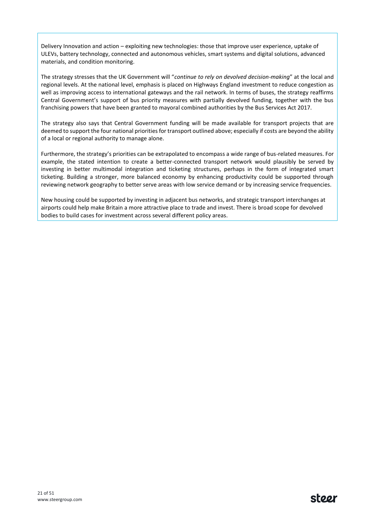Delivery Innovation and action – exploiting new technologies: those that improve user experience, uptake of ULEVs, battery technology, connected and autonomous vehicles, smart systems and digital solutions, advanced materials, and condition monitoring.

1.9 The strategy stresses that the UK Government will "*continue to rely on devolved decision-making*" at the local and regional levels. At the national level, emphasis is placed on Highways England investment to reduce congestion as well as improving access to international gateways and the rail network. In terms of buses, the strategy reaffirms Central Government's support of bus priority measures with partially devolved funding, together with the bus franchising powers that have been granted to mayoral combined authorities by the Bus Services Act 2017.

The strategy also says that Central Government funding will be made available for transport projects that are deemed to support the four national priorities for transport outlined above; especially if costs are beyond the ability of a local or regional authority to manage alone.

Furthermore, the strategy's priorities can be extrapolated to encompass a wide range of bus-related measures. For example, the stated intention to create a better-connected transport network would plausibly be served by investing in better multimodal integration and ticketing structures, perhaps in the form of integrated smart ticketing. Building a stronger, more balanced economy by enhancing productivity could be supported through reviewing network geography to better serve areas with low service demand or by increasing service frequencies.

New housing could be supported by investing in adjacent bus networks, and strategic transport interchanges at airports could help make Britain a more attractive place to trade and invest. There is broad scope for devolved bodies to build cases for investment across several different policy areas.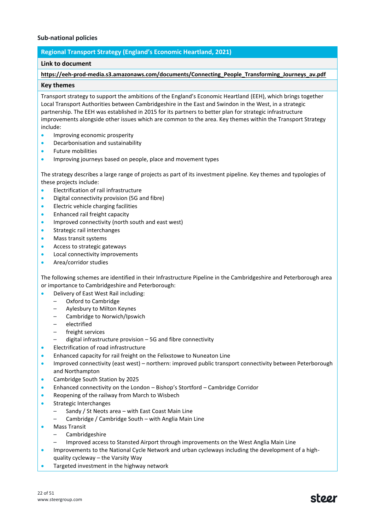## **Sub-national policies**

## **Regional Transport Strategy (England's Economic Heartland, 2021)**

#### **Link to document**

#### **[https://eeh-prod-media.s3.amazonaws.com/documents/Connecting\\_People\\_Transforming\\_Journeys\\_av.pdf](https://eeh-prod-media.s3.amazonaws.com/documents/Connecting_People_Transforming_Journeys_av.pdf)**

#### **Key themes**

Transport strategy to support the ambitions of the England's Economic Heartland (EEH), which brings together Local Transport Authorities between Cambridgeshire in the East and Swindon in the West, in a strategic partnership. The EEH was established in 2015 for its partners to better plan for strategic infrastructure improvements alongside other issues which are common to the area. Key themes within the Transport Strategy include:

- Improving economic prosperity
- Decarbonisation and sustainability
- Future mobilities
- **Improving journeys based on people, place and movement types**

The strategy describes a large range of projects as part of its investment pipeline. Key themes and typologies of these projects include:

- Electrification of rail infrastructure
- Digital connectivity provision (5G and fibre)
- Electric vehicle charging facilities
- Enhanced rail freight capacity
- Improved connectivity (north south and east west)
- Strategic rail interchanges
- Mass transit systems
- Access to strategic gateways
- Local connectivity improvements
- Area/corridor studies

The following schemes are identified in their Infrastructure Pipeline in the Cambridgeshire and Peterborough area or importance to Cambridgeshire and Peterborough:

- Delivery of East West Rail including:
	- Oxford to Cambridge
	- Aylesbury to Milton Keynes
	- Cambridge to Norwich/Ipswich
	- electrified
	- freight services
	- digital infrastructure provision 5G and fibre connectivity
- Electrification of road infrastructure
- Enhanced capacity for rail freight on the Felixstowe to Nuneaton Line
- Improved connectivity (east west) northern: improved public transport connectivity between Peterborough and Northampton
- Cambridge South Station by 2025
- Enhanced connectivity on the London Bishop's Stortford Cambridge Corridor
- Reopening of the railway from March to Wisbech
- Strategic Interchanges
	- Sandy / St Neots area with East Coast Main Line
	- Cambridge / Cambridge South with Anglia Main Line
- Mass Transit
	- Cambridgeshire
	- Improved access to Stansted Airport through improvements on the West Anglia Main Line
- Improvements to the National Cycle Network and urban cycleways including the development of a highquality cycleway – the Varsity Way
- Targeted investment in the highway network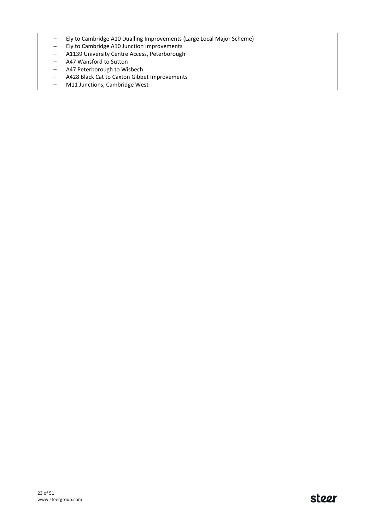- Ely to Cambridge A10 Dualling Improvements (Large Local Major Scheme)
- Ely to Cambridge A10 Junction Improvements
- A1139 University Centre Access, Peterborough
- A47 Wansford to Sutton
- A47 Peterborough to Wisbech
- A428 Black Cat to Caxton Gibbet Improvements
- M11 Junctions, Cambridge West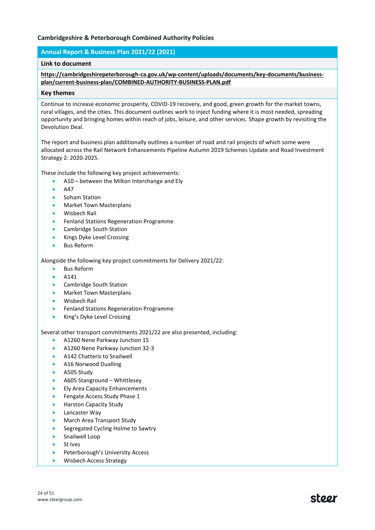## **Cambridgeshire & Peterborough Combined Authority Policies**

## **Annual Report & Business Plan 2021/22 (2021)**

## **Link to document**

#### **[https://cambridgeshirepeterborough-ca.gov.uk/wp-content/uploads/documents/key-documents/business](https://cambridgeshirepeterborough-ca.gov.uk/wp-content/uploads/documents/key-documents/business-plan/current-business-plan/COMBINED-AUTHORITY-BUSINESS-PLAN.pdf)[plan/current-business-plan/COMBINED-AUTHORITY-BUSINESS-PLAN.pdf](https://cambridgeshirepeterborough-ca.gov.uk/wp-content/uploads/documents/key-documents/business-plan/current-business-plan/COMBINED-AUTHORITY-BUSINESS-PLAN.pdf)**

#### **Key themes**

Continue to increase economic prosperity, COVID-19 recovery, and good, green growth for the market towns, rural villages, and the cities. This document outlines work to inject funding where it is most needed, spreading opportunity and bringing homes within reach of jobs, leisure, and other services. Shape growth by revisiting the Devolution Deal.

The report and business plan additionally outlines a number of road and rail projects of which some were allocated across the Rail Network Enhancements Pipeline Autumn 2019 Schemes Update and Road Investment Strategy 2: 2020-2025.

These include the following key project achievements:

- A10 between the Milton Interchange and Ely
- A47
- Soham Station
- Market Town Masterplans
- Wisbech Rail
- Fenland Stations Regeneration Programme
- Cambridge South Station
- Kings Dyke Level Crossing
- Bus Reform

Alongside the following key project commitments for Delivery 2021/22:

- Bus Reform
- A141
- Cambridge South Station
- Market Town Masterplans
- Wisbech Rail
- Fenland Stations Regeneration Programme
- King's Dyke Level Crossing

Several other transport commitments 2021/22 are also presented, including:

- A1260 Nene Parkway Junction 15
- A1260 Nene Parkway Junction 32-3
- A142 Chatteris to Snailwell
- A16 Norwood Dualling
- A505 Study
- A605 Stanground Whittlesey
- Ely Area Capacity Enhancements
- Fengate Access Study Phase 1
- Harston Capacity Study
- Lancaster Way
- March Area Transport Study
- Segregated Cycling Holme to Sawtry
- Snailwell Loop
- St Ives
- Peterborough's University Access
- Wisbech Access Strategy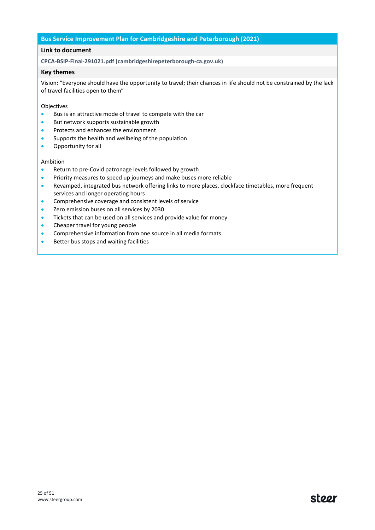#### **Bus Service Improvement Plan for Cambridgeshire and Peterborough (2021)**

#### **Link to document**

**[CPCA-BSIP-Final-291021.pdf \(cambridgeshirepeterborough-ca.gov.uk\)](https://cambridgeshirepeterborough-ca.gov.uk/wp-content/uploads/documents/transport/buses/Bus-Reform-Mayoral-Task-Force/CPCA-BSIP-Final-291021.pdf)**

#### **Key themes**

Vision: "Everyone should have the opportunity to travel; their chances in life should not be constrained by the lack of travel facilities open to them"

Objectives

- Bus is an attractive mode of travel to compete with the car
- But network supports sustainable growth
- Protects and enhances the environment
- Supports the health and wellbeing of the population
- Opportunity for all

#### Ambition

- Return to pre-Covid patronage levels followed by growth
- Priority measures to speed up journeys and make buses more reliable
- Revamped, integrated bus network offering links to more places, clockface timetables, more frequent services and longer operating hours
- Comprehensive coverage and consistent levels of service
- Zero emission buses on all services by 2030
- Tickets that can be used on all services and provide value for money
- Cheaper travel for young people
- Comprehensive information from one source in all media formats
- Better bus stops and waiting facilities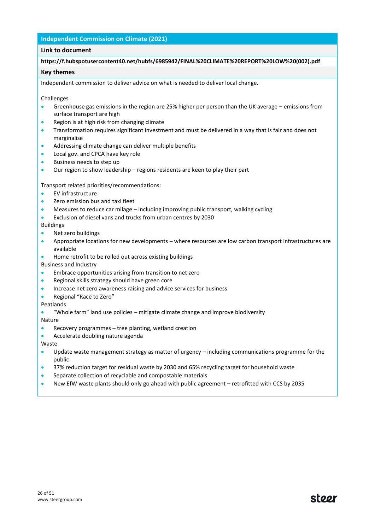## **Independent Commission on Climate (2021)**

#### **Link to document**

#### **[https://f.hubspotusercontent40.net/hubfs/6985942/FINAL%20CLIMATE%20REPORT%20LOW%20\(002\).pdf](https://f.hubspotusercontent40.net/hubfs/6985942/FINAL%20CLIMATE%20REPORT%20LOW%20(002).pdf)**

#### **Key themes**

Independent commission to deliver advice on what is needed to deliver local change.

#### Challenges

- Greenhouse gas emissions in the region are 25% higher per person than the UK average emissions from surface transport are high
- Region is at high risk from changing climate
- Transformation requires significant investment and must be delivered in a way that is fair and does not marginalise
- Addressing climate change can deliver multiple benefits
- Local gov. and CPCA have key role
- Business needs to step up
- Our region to show leadership regions residents are keen to play their part

Transport related priorities/recommendations:

- EV infrastructure
- Zero emission bus and taxi fleet
- Measures to reduce car milage including improving public transport, walking cycling
- Exclusion of diesel vans and trucks from urban centres by 2030

#### Buildings

- Net zero buildings
- Appropriate locations for new developments where resources are low carbon transport infrastructures are available
- Home retrofit to be rolled out across existing buildings

Business and Industry

- Embrace opportunities arising from transition to net zero
- Regional skills strategy should have green core
- Increase net zero awareness raising and advice services for business
- Regional "Race to Zero"

#### Peatlands

• "Whole farm" land use policies – mitigate climate change and improve biodiversity

Nature

- Recovery programmes tree planting, wetland creation
- Accelerate doubling nature agenda

#### Waste

- Update waste management strategy as matter of urgency including communications programme for the public
- 37% reduction target for residual waste by 2030 and 65% recycling target for household waste
- Separate collection of recyclable and compostable materials
- New EfW waste plants should only go ahead with public agreement retrofitted with CCS by 2035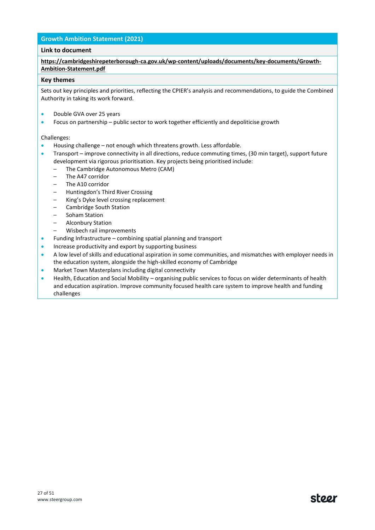## **Growth Ambition Statement (2021)**

## **Link to document**

**[https://cambridgeshirepeterborough-ca.gov.uk/wp-content/uploads/documents/key-documents/Growth-](https://cambridgeshirepeterborough-ca.gov.uk/wp-content/uploads/documents/key-documents/Growth-Ambition-Statement.pdf)[Ambition-Statement.pdf](https://cambridgeshirepeterborough-ca.gov.uk/wp-content/uploads/documents/key-documents/Growth-Ambition-Statement.pdf)**

#### **Key themes**

Sets out key principles and priorities, reflecting the CPIER's analysis and recommendations, to guide the Combined Authority in taking its work forward.

- Double GVA over 25 years
- Focus on partnership public sector to work together efficiently and depoliticise growth

#### Challenges:

- Housing challenge not enough which threatens growth. Less affordable.
- Transport improve connectivity in all directions, reduce commuting times, (30 min target), support future development via rigorous prioritisation. Key projects being prioritised include:
	- The Cambridge Autonomous Metro (CAM)
	- The A47 corridor
	- The A10 corridor
	- Huntingdon's Third River Crossing
	- King's Dyke level crossing replacement
	- Cambridge South Station
	- Soham Station
	- Alconbury Station
	- Wisbech rail improvements
- Funding Infrastructure combining spatial planning and transport
- Increase productivity and export by supporting business
- A low level of skills and educational aspiration in some communities, and mismatches with employer needs in the education system, alongside the high-skilled economy of Cambridge
- Market Town Masterplans including digital connectivity
- Health, Education and Social Mobility organising public services to focus on wider determinants of health and education aspiration. Improve community focused health care system to improve health and funding challenges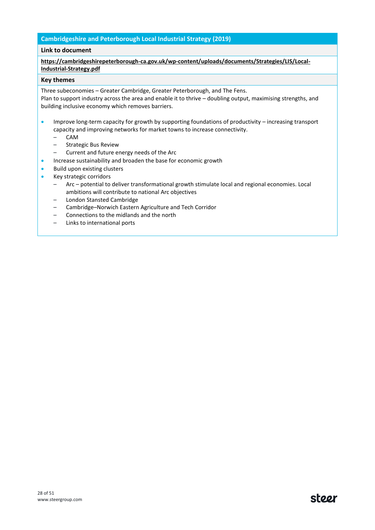## **Cambridgeshire and Peterborough Local Industrial Strategy (2019)**

#### **Link to document**

## **[https://cambridgeshirepeterborough-ca.gov.uk/wp-content/uploads/documents/Strategies/LIS/Local-](https://cambridgeshirepeterborough-ca.gov.uk/wp-content/uploads/documents/Strategies/LIS/Local-Industrial-Strategy.pdf)[Industrial-Strategy.pdf](https://cambridgeshirepeterborough-ca.gov.uk/wp-content/uploads/documents/Strategies/LIS/Local-Industrial-Strategy.pdf)**

#### **Key themes**

Three subeconomies – Greater Cambridge, Greater Peterborough, and The Fens.

Plan to support industry across the area and enable it to thrive – doubling output, maximising strengths, and building inclusive economy which removes barriers.

- Improve long-term capacity for growth by supporting foundations of productivity increasing transport capacity and improving networks for market towns to increase connectivity.
	- CAM
	- Strategic Bus Review
	- Current and future energy needs of the Arc
	- Increase sustainability and broaden the base for economic growth
- Build upon existing clusters
- Key strategic corridors
	- Arc potential to deliver transformational growth stimulate local and regional economies. Local ambitions will contribute to national Arc objectives
	- London Stansted Cambridge
	- Cambridge–Norwich Eastern Agriculture and Tech Corridor
	- Connections to the midlands and the north
	- Links to international ports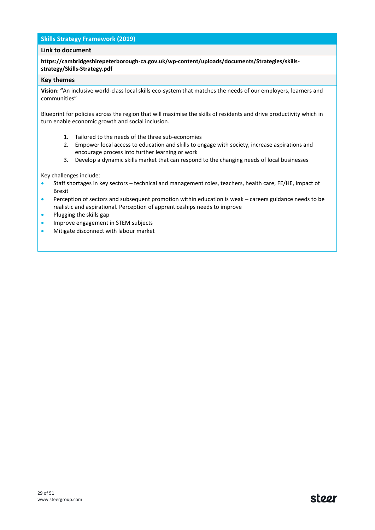## **Skills Strategy Framework (2019)**

#### **Link to document**

## **[https://cambridgeshirepeterborough-ca.gov.uk/wp-content/uploads/documents/Strategies/skills](https://cambridgeshirepeterborough-ca.gov.uk/wp-content/uploads/documents/Strategies/skills-strategy/Skills-Strategy.pdf)[strategy/Skills-Strategy.pdf](https://cambridgeshirepeterborough-ca.gov.uk/wp-content/uploads/documents/Strategies/skills-strategy/Skills-Strategy.pdf)**

#### **Key themes**

**Vision: "**An inclusive world-class local skills eco-system that matches the needs of our employers, learners and communities"

Blueprint for policies across the region that will maximise the skills of residents and drive productivity which in turn enable economic growth and social inclusion.

- 1. Tailored to the needs of the three sub-economies
- 2. Empower local access to education and skills to engage with society, increase aspirations and encourage process into further learning or work
- 3. Develop a dynamic skills market that can respond to the changing needs of local businesses

Key challenges include:

- Staff shortages in key sectors technical and management roles, teachers, health care, FE/HE, impact of Brexit
- Perception of sectors and subsequent promotion within education is weak careers guidance needs to be realistic and aspirational. Perception of apprenticeships needs to improve
- Plugging the skills gap
- Improve engagement in STEM subjects
- Mitigate disconnect with labour market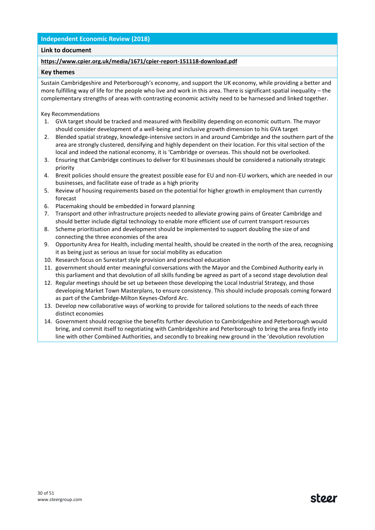## **Independent Economic Review (2018)**

## **Link to document**

## **<https://www.cpier.org.uk/media/1671/cpier-report-151118-download.pdf>**

#### **Key themes**

Sustain Cambridgeshire and Peterborough's economy, and support the UK economy, while providing a better and more fulfilling way of life for the people who live and work in this area. There is significant spatial inequality – the complementary strengths of areas with contrasting economic activity need to be harnessed and linked together.

Key Recommendations

- 1. GVA target should be tracked and measured with flexibility depending on economic outturn. The mayor should consider development of a well-being and inclusive growth dimension to his GVA target
- 2. Blended spatial strategy, knowledge-intensive sectors in and around Cambridge and the southern part of the area are strongly clustered, densifying and highly dependent on their location. For this vital section of the local and indeed the national economy, it is 'Cambridge or overseas. This should not be overlooked.
- 3. Ensuring that Cambridge continues to deliver for KI businesses should be considered a nationally strategic priority
- 4. Brexit policies should ensure the greatest possible ease for EU and non-EU workers, which are needed in our businesses, and facilitate ease of trade as a high priority
- 5. Review of housing requirements based on the potential for higher growth in employment than currently forecast
- 6. Placemaking should be embedded in forward planning
- 7. Transport and other infrastructure projects needed to alleviate growing pains of Greater Cambridge and should better include digital technology to enable more efficient use of current transport resources
- 8. Scheme prioritisation and development should be implemented to support doubling the size of and connecting the three economies of the area
- 9. Opportunity Area for Health, including mental health, should be created in the north of the area, recognising it as being just as serious an issue for social mobility as education
- 10. Research focus on Surestart style provision and preschool education
- 11. government should enter meaningful conversations with the Mayor and the Combined Authority early in this parliament and that devolution of all skills funding be agreed as part of a second stage devolution deal
- 12. Regular meetings should be set up between those developing the Local Industrial Strategy, and those developing Market Town Masterplans, to ensure consistency. This should include proposals coming forward as part of the Cambridge-Milton Keynes-Oxford Arc.
- 13. Develop new collaborative ways of working to provide for tailored solutions to the needs of each three distinct economies
- 14. Government should recognise the benefits further devolution to Cambridgeshire and Peterborough would bring, and commit itself to negotiating with Cambridgeshire and Peterborough to bring the area firstly into line with other Combined Authorities, and secondly to breaking new ground in the 'devolution revolution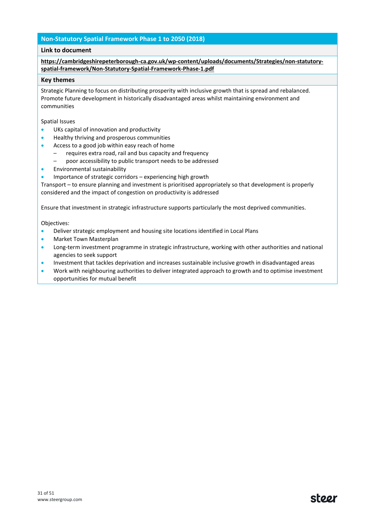## **Non-Statutory Spatial Framework Phase 1 to 2050 (2018)**

## **Link to document**

**[https://cambridgeshirepeterborough-ca.gov.uk/wp-content/uploads/documents/Strategies/non-statutory](https://cambridgeshirepeterborough-ca.gov.uk/wp-content/uploads/documents/Strategies/non-statutory-spatial-framework/Non-Statutory-Spatial-Framework-Phase-1.pdf)[spatial-framework/Non-Statutory-Spatial-Framework-Phase-1.pdf](https://cambridgeshirepeterborough-ca.gov.uk/wp-content/uploads/documents/Strategies/non-statutory-spatial-framework/Non-Statutory-Spatial-Framework-Phase-1.pdf)**

#### **Key themes**

Strategic Planning to focus on distributing prosperity with inclusive growth that is spread and rebalanced. Promote future development in historically disadvantaged areas whilst maintaining environment and communities

Spatial Issues

- UKs capital of innovation and productivity
- Healthy thriving and prosperous communities
- Access to a good job within easy reach of home
	- requires extra road, rail and bus capacity and frequency
	- poor accessibility to public transport needs to be addressed
- Environmental sustainability
- Importance of strategic corridors experiencing high growth

Transport – to ensure planning and investment is prioritised appropriately so that development is properly considered and the impact of congestion on productivity is addressed

Ensure that investment in strategic infrastructure supports particularly the most deprived communities.

Objectives:

- Deliver strategic employment and housing site locations identified in Local Plans
- Market Town Masterplan
- Long-term investment programme in strategic infrastructure, working with other authorities and national agencies to seek support
- Investment that tackles deprivation and increases sustainable inclusive growth in disadvantaged areas
- Work with neighbouring authorities to deliver integrated approach to growth and to optimise investment opportunities for mutual benefit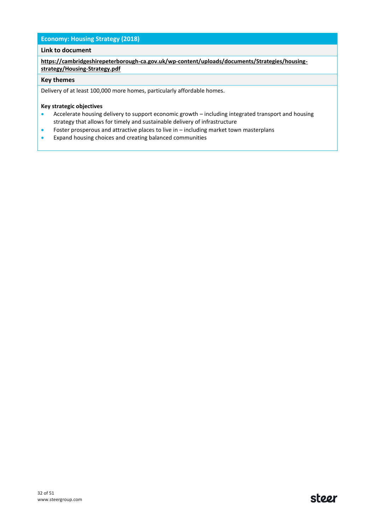## **Economy: Housing Strategy (2018)**

## **Link to document**

**[https://cambridgeshirepeterborough-ca.gov.uk/wp-content/uploads/documents/Strategies/housing](https://cambridgeshirepeterborough-ca.gov.uk/wp-content/uploads/documents/Strategies/housing-strategy/Housing-Strategy.pdf)[strategy/Housing-Strategy.pdf](https://cambridgeshirepeterborough-ca.gov.uk/wp-content/uploads/documents/Strategies/housing-strategy/Housing-Strategy.pdf)**

## **Key themes**

Delivery of at least 100,000 more homes, particularly affordable homes.

#### **Key strategic objectives**

- Accelerate housing delivery to support economic growth including integrated transport and housing strategy that allows for timely and sustainable delivery of infrastructure
- Foster prosperous and attractive places to live in including market town masterplans
- Expand housing choices and creating balanced communities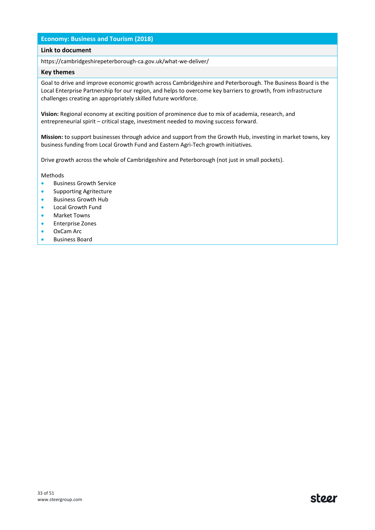## **Economy: Business and Tourism (2018)**

#### **Link to document**

https://cambridgeshirepeterborough-ca.gov.uk/what-we-deliver/

#### **Key themes**

Goal to drive and improve economic growth across Cambridgeshire and Peterborough. The Business Board is the Local Enterprise Partnership for our region, and helps to overcome key barriers to growth, from infrastructure challenges creating an appropriately skilled future workforce.

**Vision:** Regional economy at exciting position of prominence due to mix of academia, research, and entrepreneurial spirit – critical stage, investment needed to moving success forward.

**Mission:** to support businesses through advice and support from the Growth Hub, investing in market towns, key business funding from Local Growth Fund and Eastern Agri-Tech growth initiatives.

Drive growth across the whole of Cambridgeshire and Peterborough (not just in small pockets).

#### Methods

- Business Growth Service
- Supporting Agritecture
- Business Growth Hub
- Local Growth Fund
- Market Towns
- Enterprise Zones
- OxCam Arc
- Business Board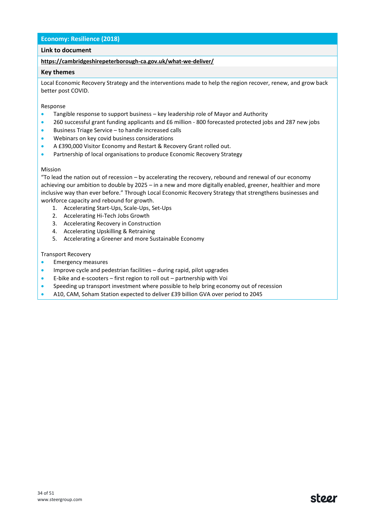## **Economy: Resilience (2018)**

## **Link to document**

#### **<https://cambridgeshirepeterborough-ca.gov.uk/what-we-deliver/>**

#### **Key themes**

Local Economic Recovery Strategy and the interventions made to help the region recover, renew, and grow back better post COVID.

#### Response

- Tangible response to support business key leadership role of Mayor and Authority
- 260 successful grant funding applicants and £6 million 800 forecasted protected jobs and 287 new jobs
- Business Triage Service to handle increased calls
- Webinars on key covid business considerations
- A £390,000 Visitor Economy and Restart & Recovery Grant rolled out.
- Partnership of local organisations to produce Economic Recovery Strategy

#### Mission

"To lead the nation out of recession – by accelerating the recovery, rebound and renewal of our economy achieving our ambition to double by 2025 – in a new and more digitally enabled, greener, healthier and more inclusive way than ever before." Through Local Economic Recovery Strategy that strengthens businesses and workforce capacity and rebound for growth.

- 1. Accelerating Start-Ups, Scale-Ups, Set-Ups
- 2. Accelerating Hi-Tech Jobs Growth
- 3. Accelerating Recovery in Construction
- 4. Accelerating Upskilling & Retraining
- 5. Accelerating a Greener and more Sustainable Economy

#### Transport Recovery

- Emergency measures
- Improve cycle and pedestrian facilities during rapid, pilot upgrades
- E-bike and e-scooters first region to roll out partnership with Voi
- Speeding up transport investment where possible to help bring economy out of recession
- A10, CAM, Soham Station expected to deliver £39 billion GVA over period to 2045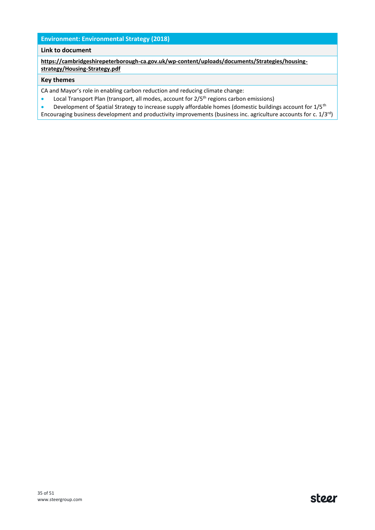## **Environment: Environmental Strategy (2018)**

## **Link to document**

**[https://cambridgeshirepeterborough-ca.gov.uk/wp-content/uploads/documents/Strategies/housing](https://cambridgeshirepeterborough-ca.gov.uk/wp-content/uploads/documents/Strategies/housing-strategy/Housing-Strategy.pdf)[strategy/Housing-Strategy.pdf](https://cambridgeshirepeterborough-ca.gov.uk/wp-content/uploads/documents/Strategies/housing-strategy/Housing-Strategy.pdf)**

#### **Key themes**

CA and Mayor's role in enabling carbon reduction and reducing climate change:

• Local Transport Plan (transport, all modes, account for 2/5<sup>th</sup> regions carbon emissions)

• Development of Spatial Strategy to increase supply affordable homes (domestic buildings account for 1/5<sup>th</sup> Encouraging business development and productivity improvements (business inc. agriculture accounts for c. 1/3rd)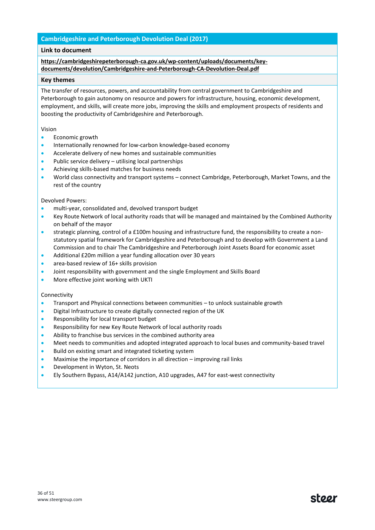## **Cambridgeshire and Peterborough Devolution Deal (2017)**

## **Link to document**

## **[https://cambridgeshirepeterborough-ca.gov.uk/wp-content/uploads/documents/key](https://cambridgeshirepeterborough-ca.gov.uk/wp-content/uploads/documents/key-documents/devolution/Cambridgeshire-and-Peterborough-CA-Devolution-Deal.pdf)[documents/devolution/Cambridgeshire-and-Peterborough-CA-Devolution-Deal.pdf](https://cambridgeshirepeterborough-ca.gov.uk/wp-content/uploads/documents/key-documents/devolution/Cambridgeshire-and-Peterborough-CA-Devolution-Deal.pdf)**

#### **Key themes**

The transfer of resources, powers, and accountability from central government to Cambridgeshire and Peterborough to gain autonomy on resource and powers for infrastructure, housing, economic development, employment, and skills, will create more jobs, improving the skills and employment prospects of residents and boosting the productivity of Cambridgeshire and Peterborough.

#### Vision

- Economic growth
- Internationally renowned for low-carbon knowledge-based economy
- Accelerate delivery of new homes and sustainable communities
- Public service delivery utilising local partnerships
- Achieving skills-based matches for business needs
- World class connectivity and transport systems connect Cambridge, Peterborough, Market Towns, and the rest of the country

#### Devolved Powers:

- multi-year, consolidated and, devolved transport budget
- Key Route Network of local authority roads that will be managed and maintained by the Combined Authority on behalf of the mayor
- strategic planning, control of a £100m housing and infrastructure fund, the responsibility to create a nonstatutory spatial framework for Cambridgeshire and Peterborough and to develop with Government a Land Commission and to chair The Cambridgeshire and Peterborough Joint Assets Board for economic asset
- Additional £20m million a year funding allocation over 30 years
- area-based review of 16+ skills provision
- Joint responsibility with government and the single Employment and Skills Board
- More effective joint working with UKTI

#### Connectivity

- Transport and Physical connections between communities to unlock sustainable growth
- Digital Infrastructure to create digitally connected region of the UK
- Responsibility for local transport budget
- Responsibility for new Key Route Network of local authority roads
- Ability to franchise bus services in the combined authority area
- Meet needs to communities and adopted integrated approach to local buses and community-based travel
- Build on existing smart and integrated ticketing system
- Maximise the importance of corridors in all direction improving rail links
- Development in Wyton, St. Neots
- Ely Southern Bypass, A14/A142 junction, A10 upgrades, A47 for east-west connectivity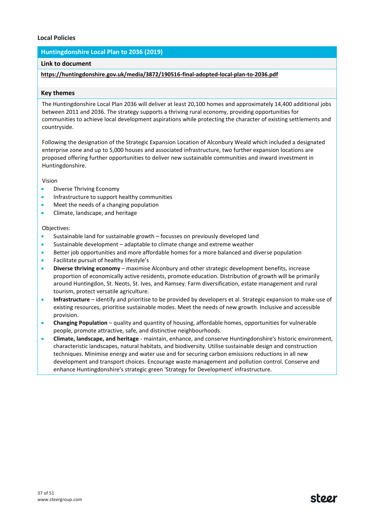## **Local Policies**

## **Huntingdonshire Local Plan to 2036 (2019)**

#### **Link to document**

## **<https://huntingdonshire.gov.uk/media/3872/190516-final-adopted-local-plan-to-2036.pdf>**

#### **Key themes**

The Huntingdonshire Local Plan 2036 will deliver at least 20,100 homes and approximately 14,400 additional jobs between 2011 and 2036. The strategy supports a thriving rural economy, providing opportunities for communities to achieve local development aspirations while protecting the character of existing settlements and countryside.

Following the designation of the Strategic Expansion Location of Alconbury Weald which included a designated enterprise zone and up to 5,000 houses and associated infrastructure, two further expansion locations are proposed offering further opportunities to deliver new sustainable communities and inward investment in Huntingdonshire.

Vision

- Diverse Thriving Economy
- Infrastructure to support healthy communities
- Meet the needs of a changing population
- Climate, landscape, and heritage

#### Objectives:

- Sustainable land for sustainable growth focusses on previously developed land
- Sustainable development adaptable to climate change and extreme weather
- Better job opportunities and more affordable homes for a more balanced and diverse population
- Facilitate pursuit of healthy lifestyle's
- **Diverse thriving economy** maximise Alconbury and other strategic development benefits, increase proportion of economically active residents, promote education. Distribution of growth will be primarily around Huntingdon, St. Neots, St. Ives, and Ramsey. Farm diversification, estate management and rural tourism, protect versatile agriculture.
- **Infrastructure** identify and prioritise to be provided by developers et al. Strategic expansion to make use of existing resources, prioritise sustainable modes. Meet the needs of new growth. Inclusive and accessible provision.
- **Changing Population**  quality and quantity of housing, affordable homes, opportunities for vulnerable people, promote attractive, safe, and distinctive neighbourhoods.
- **Climate, landscape, and heritage** maintain, enhance, and conserve Huntingdonshire's historic environment, characteristic landscapes, natural habitats, and biodiversity. Utilise sustainable design and construction techniques. Minimise energy and water use and for securing carbon emissions reductions in all new development and transport choices. Encourage waste management and pollution control. Conserve and enhance Huntingdonshire's strategic green 'Strategy for Development' infrastructure.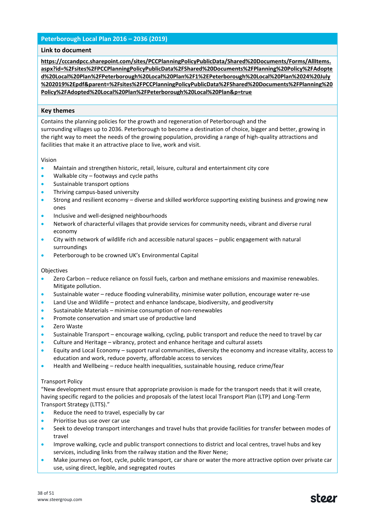## **Peterborough Local Plan 2016 – 2036 (2019)**

#### **Link to document**

**[https://cccandpcc.sharepoint.com/sites/PCCPlanningPolicyPublicData/Shared%20Documents/Forms/AllItems.](https://cccandpcc.sharepoint.com/sites/PCCPlanningPolicyPublicData/Shared%20Documents/Forms/AllItems.aspx?id=%2Fsites%2FPCCPlanningPolicyPublicData%2FShared%20Documents%2FPlanning%20Policy%2FAdopted%20Local%20Plan%2FPeterborough%20Local%20Plan%2F1%2EPeterborough%20Local%20Plan%2024%20July%202019%2Epdf&parent=%2Fsites%2FPCCPlanningPolicyPublicData%2FShared%20Documents%2FPlanning%20Policy%2FAdopted%20Local%20Plan%2FPeterborough%20Local%20Plan&p=true) [aspx?id=%2Fsites%2FPCCPlanningPolicyPublicData%2FShared%20Documents%2FPlanning%20Policy%2FAdopte](https://cccandpcc.sharepoint.com/sites/PCCPlanningPolicyPublicData/Shared%20Documents/Forms/AllItems.aspx?id=%2Fsites%2FPCCPlanningPolicyPublicData%2FShared%20Documents%2FPlanning%20Policy%2FAdopted%20Local%20Plan%2FPeterborough%20Local%20Plan%2F1%2EPeterborough%20Local%20Plan%2024%20July%202019%2Epdf&parent=%2Fsites%2FPCCPlanningPolicyPublicData%2FShared%20Documents%2FPlanning%20Policy%2FAdopted%20Local%20Plan%2FPeterborough%20Local%20Plan&p=true) [d%20Local%20Plan%2FPeterborough%20Local%20Plan%2F1%2EPeterborough%20Local%20Plan%2024%20July](https://cccandpcc.sharepoint.com/sites/PCCPlanningPolicyPublicData/Shared%20Documents/Forms/AllItems.aspx?id=%2Fsites%2FPCCPlanningPolicyPublicData%2FShared%20Documents%2FPlanning%20Policy%2FAdopted%20Local%20Plan%2FPeterborough%20Local%20Plan%2F1%2EPeterborough%20Local%20Plan%2024%20July%202019%2Epdf&parent=%2Fsites%2FPCCPlanningPolicyPublicData%2FShared%20Documents%2FPlanning%20Policy%2FAdopted%20Local%20Plan%2FPeterborough%20Local%20Plan&p=true) [%202019%2Epdf&parent=%2Fsites%2FPCCPlanningPolicyPublicData%2FShared%20Documents%2FPlanning%20](https://cccandpcc.sharepoint.com/sites/PCCPlanningPolicyPublicData/Shared%20Documents/Forms/AllItems.aspx?id=%2Fsites%2FPCCPlanningPolicyPublicData%2FShared%20Documents%2FPlanning%20Policy%2FAdopted%20Local%20Plan%2FPeterborough%20Local%20Plan%2F1%2EPeterborough%20Local%20Plan%2024%20July%202019%2Epdf&parent=%2Fsites%2FPCCPlanningPolicyPublicData%2FShared%20Documents%2FPlanning%20Policy%2FAdopted%20Local%20Plan%2FPeterborough%20Local%20Plan&p=true) [Policy%2FAdopted%20Local%20Plan%2FPeterborough%20Local%20Plan&p=true](https://cccandpcc.sharepoint.com/sites/PCCPlanningPolicyPublicData/Shared%20Documents/Forms/AllItems.aspx?id=%2Fsites%2FPCCPlanningPolicyPublicData%2FShared%20Documents%2FPlanning%20Policy%2FAdopted%20Local%20Plan%2FPeterborough%20Local%20Plan%2F1%2EPeterborough%20Local%20Plan%2024%20July%202019%2Epdf&parent=%2Fsites%2FPCCPlanningPolicyPublicData%2FShared%20Documents%2FPlanning%20Policy%2FAdopted%20Local%20Plan%2FPeterborough%20Local%20Plan&p=true)**

#### **Key themes**

Contains the planning policies for the growth and regeneration of Peterborough and the surrounding villages up to 2036. Peterborough to become a destination of choice, bigger and better, growing in the right way to meet the needs of the growing population, providing a range of high-quality attractions and facilities that make it an attractive place to live, work and visit.

Vision

- Maintain and strengthen historic, retail, leisure, cultural and entertainment city core
- Walkable  $city footways$  and cycle paths
- Sustainable transport options
- Thriving campus-based university
- Strong and resilient economy diverse and skilled workforce supporting existing business and growing new ones
- Inclusive and well-designed neighbourhoods
- Network of characterful villages that provide services for community needs, vibrant and diverse rural economy
- City with network of wildlife rich and accessible natural spaces public engagement with natural surroundings
- Peterborough to be crowned UK's Environmental Capital

Objectives

- Zero Carbon reduce reliance on fossil fuels, carbon and methane emissions and maximise renewables. Mitigate pollution.
- Sustainable water reduce flooding vulnerability, minimise water pollution, encourage water re-use
- Land Use and Wildlife protect and enhance landscape, biodiversity, and geodiversity
- Sustainable Materials minimise consumption of non-renewables
- Promote conservation and smart use of productive land
- Zero Waste
- Sustainable Transport encourage walking, cycling, public transport and reduce the need to travel by car
- Culture and Heritage vibrancy, protect and enhance heritage and cultural assets
- Equity and Local Economy support rural communities, diversity the economy and increase vitality, access to education and work, reduce poverty, affordable access to services
- Health and Wellbeing reduce health inequalities, sustainable housing, reduce crime/fear

#### Transport Policy

"New development must ensure that appropriate provision is made for the transport needs that it will create, having specific regard to the policies and proposals of the latest local Transport Plan (LTP) and Long-Term Transport Strategy (LTTS)."

- Reduce the need to travel, especially by car
- Prioritise bus use over car use
- Seek to develop transport interchanges and travel hubs that provide facilities for transfer between modes of travel
- Improve walking, cycle and public transport connections to district and local centres, travel hubs and key services, including links from the railway station and the River Nene;
- Make journeys on foot, cycle, public transport, car share or water the more attractive option over private car use, using direct, legible, and segregated routes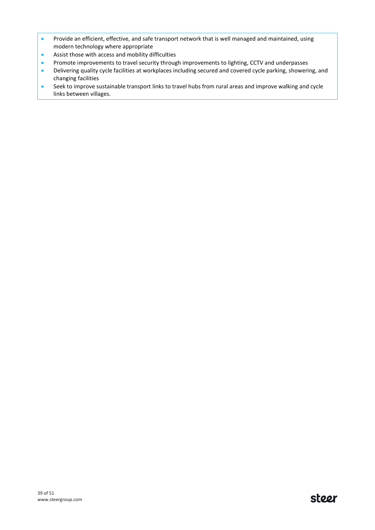- Provide an efficient, effective, and safe transport network that is well managed and maintained, using modern technology where appropriate
- Assist those with access and mobility difficulties
- Promote improvements to travel security through improvements to lighting, CCTV and underpasses
- Delivering quality cycle facilities at workplaces including secured and covered cycle parking, showering, and changing facilities
- Seek to improve sustainable transport links to travel hubs from rural areas and improve walking and cycle links between villages.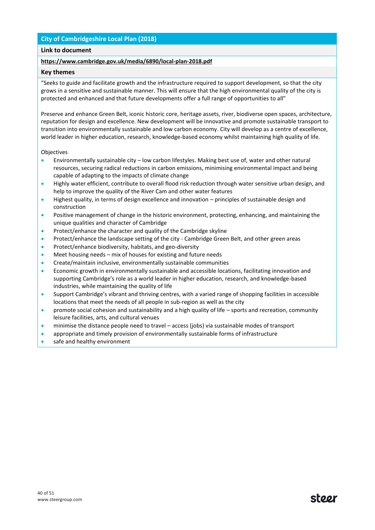## **City of Cambridgeshire Local Plan (2018)**

## **Link to document**

## **<https://www.cambridge.gov.uk/media/6890/local-plan-2018.pdf>**

#### **Key themes**

"Seeks to guide and facilitate growth and the infrastructure required to support development, so that the city grows in a sensitive and sustainable manner. This will ensure that the high environmental quality of the city is protected and enhanced and that future developments offer a full range of opportunities to all"

Preserve and enhance Green Belt, iconic historic core, heritage assets, river, biodiverse open spaces, architecture, reputation for design and excellence. New development will be innovative and promote sustainable transport to transition into environmentally sustainable and low carbon economy. City will develop as a centre of excellence, world leader in higher education, research, knowledge-based economy whilst maintaining high quality of life.

#### Objectives

- Environmentally sustainable city low carbon lifestyles. Making best use of, water and other natural resources, securing radical reductions in carbon emissions, minimising environmental impact and being capable of adapting to the impacts of climate change
- Highly water efficient, contribute to overall flood risk reduction through water sensitive urban design, and help to improve the quality of the River Cam and other water features
- Highest quality, in terms of design excellence and innovation principles of sustainable design and construction
- Positive management of change in the historic environment, protecting, enhancing, and maintaining the unique qualities and character of Cambridge
- Protect/enhance the character and quality of the Cambridge skyline
- Protect/enhance the landscape setting of the city Cambridge Green Belt, and other green areas
- Protect/enhance biodiversity, habitats, and geo-diversity
- Meet housing needs mix of houses for existing and future needs
- Create/maintain inclusive, environmentally sustainable communities
- Economic growth in environmentally sustainable and accessible locations, facilitating innovation and supporting Cambridge's role as a world leader in higher education, research, and knowledge-based industries, while maintaining the quality of life
- Support Cambridge's vibrant and thriving centres, with a varied range of shopping facilities in accessible locations that meet the needs of all people in sub-region as well as the city
- promote social cohesion and sustainability and a high quality of life sports and recreation, community leisure facilities, arts, and cultural venues
- minimise the distance people need to travel access (jobs) via sustainable modes of transport
- appropriate and timely provision of environmentally sustainable forms of infrastructure
- safe and healthy environment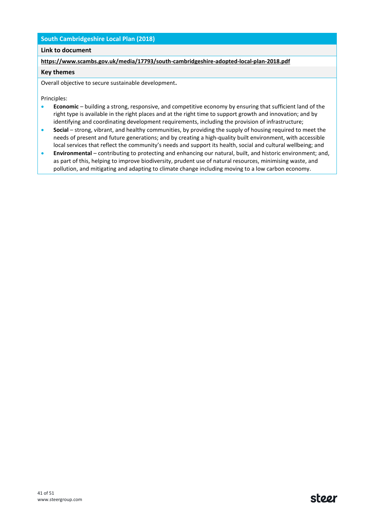## **South Cambridgeshire Local Plan (2018)**

## **Link to document**

**<https://www.scambs.gov.uk/media/17793/south-cambridgeshire-adopted-local-plan-2018.pdf>**

#### **Key themes**

Overall objective to secure sustainable development**.**

Principles:

- **Economic** building a strong, responsive, and competitive economy by ensuring that sufficient land of the right type is available in the right places and at the right time to support growth and innovation; and by identifying and coordinating development requirements, including the provision of infrastructure;
- **Social** strong, vibrant, and healthy communities, by providing the supply of housing required to meet the needs of present and future generations; and by creating a high-quality built environment, with accessible local services that reflect the community's needs and support its health, social and cultural wellbeing; and
- **Environmental** contributing to protecting and enhancing our natural, built, and historic environment; and, as part of this, helping to improve biodiversity, prudent use of natural resources, minimising waste, and pollution, and mitigating and adapting to climate change including moving to a low carbon economy.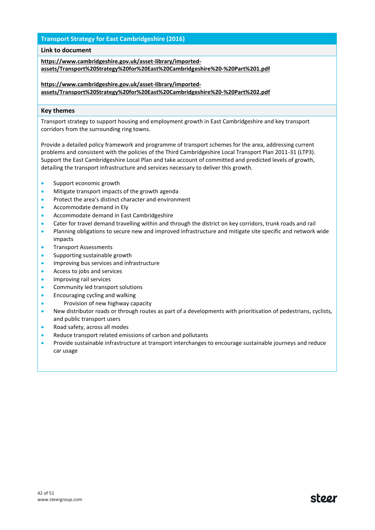## **Transport Strategy for East Cambridgeshire (2016)**

## **Link to document**

**[https://www.cambridgeshire.gov.uk/asset-library/imported](https://www.cambridgeshire.gov.uk/asset-library/imported-assets/Transport%20Strategy%20for%20East%20Cambridgeshire%20-%20Part%201.pdf)[assets/Transport%20Strategy%20for%20East%20Cambridgeshire%20-%20Part%201.pdf](https://www.cambridgeshire.gov.uk/asset-library/imported-assets/Transport%20Strategy%20for%20East%20Cambridgeshire%20-%20Part%201.pdf)**

**[https://www.cambridgeshire.gov.uk/asset-library/imported](https://www.cambridgeshire.gov.uk/asset-library/imported-assets/Transport%20Strategy%20for%20East%20Cambridgeshire%20-%20Part%202.pdf)[assets/Transport%20Strategy%20for%20East%20Cambridgeshire%20-%20Part%202.pdf](https://www.cambridgeshire.gov.uk/asset-library/imported-assets/Transport%20Strategy%20for%20East%20Cambridgeshire%20-%20Part%202.pdf)**

#### **Key themes**

Transport strategy to support housing and employment growth in East Cambridgeshire and key transport corridors from the surrounding ring towns.

Provide a detailed policy framework and programme of transport schemes for the area, addressing current problems and consistent with the policies of the Third Cambridgeshire Local Transport Plan 2011-31 (LTP3). Support the East Cambridgeshire Local Plan and take account of committed and predicted levels of growth, detailing the transport infrastructure and services necessary to deliver this growth.

- Support economic growth
- Mitigate transport impacts of the growth agenda
- Protect the area's distinct character and environment
- Accommodate demand in Ely
- Accommodate demand in East Cambridgeshire
- Cater for travel demand travelling within and through the district on key corridors, trunk roads and rail
- Planning obligations to secure new and improved infrastructure and mitigate site specific and network wide impacts
- Transport Assessments
- Supporting sustainable growth
- Improving bus services and infrastructure
- Access to jobs and services
- Improving rail services
- Community led transport solutions
- Encouraging cycling and walking
- Provision of new highway capacity
- New distributor roads or through routes as part of a developments with prioritisation of pedestrians, cyclists, and public transport users
- Road safety, across all modes
- Reduce transport related emissions of carbon and pollutants
- Provide sustainable infrastructure at transport interchanges to encourage sustainable journeys and reduce car usage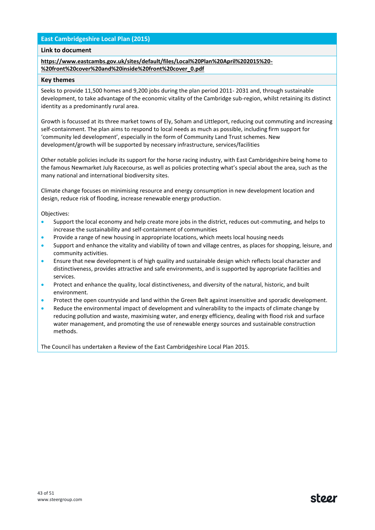## **East Cambridgeshire Local Plan (2015)**

#### **Link to document**

#### **[https://www.eastcambs.gov.uk/sites/default/files/Local%20Plan%20April%202015%20-](https://www.eastcambs.gov.uk/sites/default/files/Local%20Plan%20April%202015%20-%20front%20cover%20and%20inside%20front%20cover_0.pdf) [%20front%20cover%20and%20inside%20front%20cover\\_0.pdf](https://www.eastcambs.gov.uk/sites/default/files/Local%20Plan%20April%202015%20-%20front%20cover%20and%20inside%20front%20cover_0.pdf)**

#### **Key themes**

Seeks to provide 11,500 homes and 9,200 jobs during the plan period 2011- 2031 and, through sustainable development, to take advantage of the economic vitality of the Cambridge sub-region, whilst retaining its distinct identity as a predominantly rural area.

Growth is focussed at its three market towns of Ely, Soham and Littleport, reducing out commuting and increasing self-containment. The plan aims to respond to local needs as much as possible, including firm support for 'community led development', especially in the form of Community Land Trust schemes. New development/growth will be supported by necessary infrastructure, services/facilities

Other notable policies include its support for the horse racing industry, with East Cambridgeshire being home to the famous Newmarket July Racecourse, as well as policies protecting what's special about the area, such as the many national and international biodiversity sites.

Climate change focuses on minimising resource and energy consumption in new development location and design, reduce risk of flooding, increase renewable energy production.

Objectives:

- Support the local economy and help create more jobs in the district, reduces out-commuting, and helps to increase the sustainability and self-containment of communities
- Provide a range of new housing in appropriate locations, which meets local housing needs
- Support and enhance the vitality and viability of town and village centres, as places for shopping, leisure, and community activities.
- Ensure that new development is of high quality and sustainable design which reflects local character and distinctiveness, provides attractive and safe environments, and is supported by appropriate facilities and services.
- Protect and enhance the quality, local distinctiveness, and diversity of the natural, historic, and built environment.
- Protect the open countryside and land within the Green Belt against insensitive and sporadic development.
- Reduce the environmental impact of development and vulnerability to the impacts of climate change by reducing pollution and waste, maximising water, and energy efficiency, dealing with flood risk and surface water management, and promoting the use of renewable energy sources and sustainable construction methods.

The Council has undertaken a Review of the East Cambridgeshire Local Plan 2015.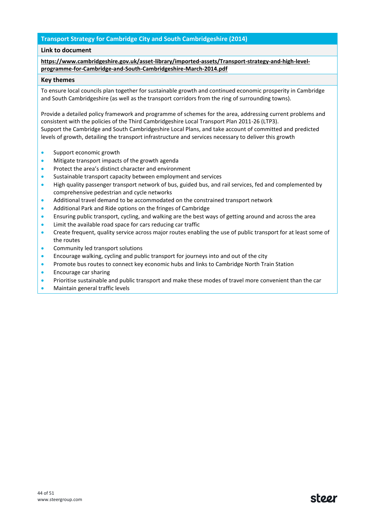## **Transport Strategy for Cambridge City and South Cambridgeshire (2014)**

#### **Link to document**

## **[https://www.cambridgeshire.gov.uk/asset-library/imported-assets/Transport-strategy-and-high-level](https://www.cambridgeshire.gov.uk/asset-library/imported-assets/Transport-strategy-and-high-level-programme-for-Cambridge-and-South-Cambridgeshire-March-2014.pdf)[programme-for-Cambridge-and-South-Cambridgeshire-March-2014.pdf](https://www.cambridgeshire.gov.uk/asset-library/imported-assets/Transport-strategy-and-high-level-programme-for-Cambridge-and-South-Cambridgeshire-March-2014.pdf)**

#### **Key themes**

To ensure local councils plan together for sustainable growth and continued economic prosperity in Cambridge and South Cambridgeshire (as well as the transport corridors from the ring of surrounding towns).

Provide a detailed policy framework and programme of schemes for the area, addressing current problems and consistent with the policies of the Third Cambridgeshire Local Transport Plan 2011-26 (LTP3). Support the Cambridge and South Cambridgeshire Local Plans, and take account of committed and predicted levels of growth, detailing the transport infrastructure and services necessary to deliver this growth

- Support economic growth
- Mitigate transport impacts of the growth agenda
- Protect the area's distinct character and environment
- Sustainable transport capacity between employment and services
- High quality passenger transport network of bus, guided bus, and rail services, fed and complemented by comprehensive pedestrian and cycle networks
- Additional travel demand to be accommodated on the constrained transport network
- Additional Park and Ride options on the fringes of Cambridge
- Ensuring public transport, cycling, and walking are the best ways of getting around and across the area
- Limit the available road space for cars reducing car traffic
- Create frequent, quality service across major routes enabling the use of public transport for at least some of the routes
- Community led transport solutions
- Encourage walking, cycling and public transport for journeys into and out of the city
- Promote bus routes to connect key economic hubs and links to Cambridge North Train Station
- Encourage car sharing
- Prioritise sustainable and public transport and make these modes of travel more convenient than the car
- Maintain general traffic levels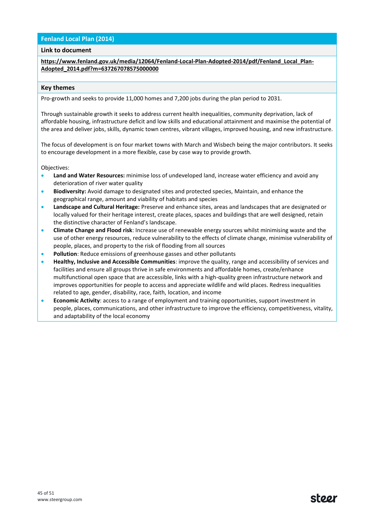## **Fenland Local Plan (2014)**

#### **Link to document**

**[https://www.fenland.gov.uk/media/12064/Fenland-Local-Plan-Adopted-2014/pdf/Fenland\\_Local\\_Plan-](https://www.fenland.gov.uk/media/12064/Fenland-Local-Plan-Adopted-2014/pdf/Fenland_Local_Plan-Adopted_2014.pdf?m=637267078575000000)[Adopted\\_2014.pdf?m=637267078575000000](https://www.fenland.gov.uk/media/12064/Fenland-Local-Plan-Adopted-2014/pdf/Fenland_Local_Plan-Adopted_2014.pdf?m=637267078575000000)**

#### **Key themes**

Pro-growth and seeks to provide 11,000 homes and 7,200 jobs during the plan period to 2031.

Through sustainable growth it seeks to address current health inequalities, community deprivation, lack of affordable housing, infrastructure deficit and low skills and educational attainment and maximise the potential of the area and deliver jobs, skills, dynamic town centres, vibrant villages, improved housing, and new infrastructure.

The focus of development is on four market towns with March and Wisbech being the major contributors. It seeks to encourage development in a more flexible, case by case way to provide growth.

Objectives:

- **Land and Water Resources:** minimise loss of undeveloped land, increase water efficiency and avoid any deterioration of river water quality
- **Biodiversity:** Avoid damage to designated sites and protected species, Maintain, and enhance the geographical range, amount and viability of habitats and species
- **Landscape and Cultural Heritage:** Preserve and enhance sites, areas and landscapes that are designated or locally valued for their heritage interest, create places, spaces and buildings that are well designed, retain the distinctive character of Fenland's landscape.
- **Climate Change and Flood risk**: Increase use of renewable energy sources whilst minimising waste and the use of other energy resources, reduce vulnerability to the effects of climate change, minimise vulnerability of people, places, and property to the risk of flooding from all sources
- **Pollution**: Reduce emissions of greenhouse gasses and other pollutants
- **Healthy, Inclusive and Accessible Communities**: improve the quality, range and accessibility of services and facilities and ensure all groups thrive in safe environments and affordable homes, create/enhance multifunctional open space that are accessible, links with a high-quality green infrastructure network and improves opportunities for people to access and appreciate wildlife and wild places. Redress inequalities related to age, gender, disability, race, faith, location, and income
- **Economic Activity**: access to a range of employment and training opportunities, support investment in people, places, communications, and other infrastructure to improve the efficiency, competitiveness, vitality, and adaptability of the local economy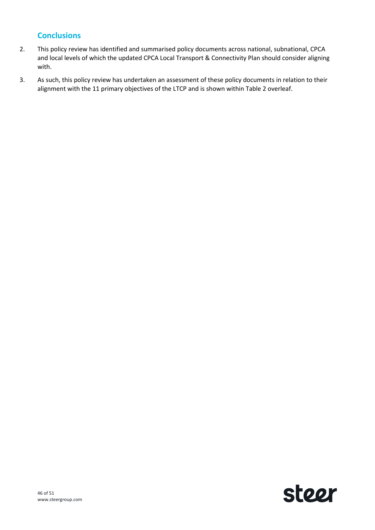## **Conclusions**

- 2. This policy review has identified and summarised policy documents across national, subnational, CPCA and local levels of which the updated CPCA Local Transport & Connectivity Plan should consider aligning with.
- 3. As such, this policy review has undertaken an assessment of these policy documents in relation to their alignment with the 11 primary objectives of the LTCP and is shown within [Table 2](#page-46-0) overleaf.

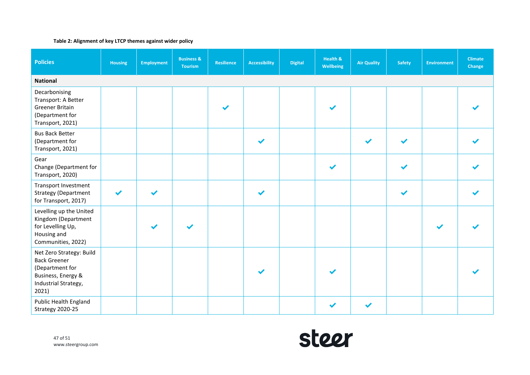#### **Table 2: Alignment of key LTCP themes against wider policy**

<span id="page-46-0"></span>

| <b>Policies</b>                                                                                                           | <b>Housing</b> | <b>Employment</b>     | <b>Business &amp;</b><br><b>Tourism</b> | <b>Resilience</b>     | <b>Accessibility</b> | <b>Digital</b> | Health &<br>Wellbeing | <b>Air Quality</b> | <b>Safety</b> | <b>Environment</b> | <b>Climate</b><br>Change |  |
|---------------------------------------------------------------------------------------------------------------------------|----------------|-----------------------|-----------------------------------------|-----------------------|----------------------|----------------|-----------------------|--------------------|---------------|--------------------|--------------------------|--|
| <b>National</b>                                                                                                           |                |                       |                                         |                       |                      |                |                       |                    |               |                    |                          |  |
| Decarbonising<br>Transport: A Better<br>Greener Britain<br>(Department for<br>Transport, 2021)                            |                |                       |                                         | $\blacktriangleright$ |                      |                |                       |                    |               |                    |                          |  |
| <b>Bus Back Better</b><br>(Department for<br>Transport, 2021)                                                             |                |                       |                                         |                       | ✔                    |                |                       |                    |               |                    |                          |  |
| Gear<br>Change (Department for<br>Transport, 2020)                                                                        |                |                       |                                         |                       |                      |                | $\blacktriangledown$  |                    |               |                    |                          |  |
| Transport Investment<br><b>Strategy (Department</b><br>for Transport, 2017)                                               | ✔              | $\blacktriangleright$ |                                         |                       | $\blacktriangledown$ |                |                       |                    |               |                    |                          |  |
| Levelling up the United<br>Kingdom (Department<br>for Levelling Up,<br>Housing and<br>Communities, 2022)                  |                |                       |                                         |                       |                      |                |                       |                    |               |                    |                          |  |
| Net Zero Strategy: Build<br><b>Back Greener</b><br>(Department for<br>Business, Energy &<br>Industrial Strategy,<br>2021) |                |                       |                                         |                       |                      |                |                       |                    |               |                    |                          |  |
| Public Health England<br>Strategy 2020-25                                                                                 |                |                       |                                         |                       |                      |                |                       | $\checkmark$       |               |                    |                          |  |

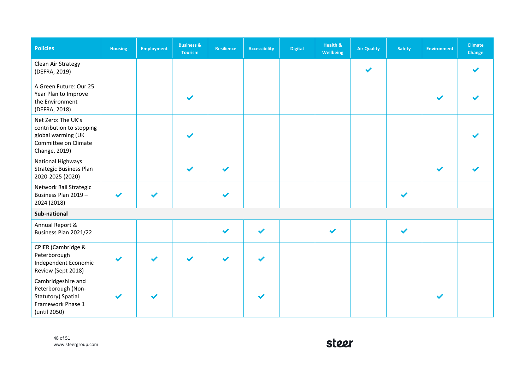| <b>Policies</b>                                                                                               | <b>Housing</b> | <b>Employment</b> | <b>Business &amp;</b><br><b>Tourism</b> | Resilience            | <b>Accessibility</b> | <b>Digital</b> | <b>Health &amp;</b><br><b>Wellbeing</b> | <b>Air Quality</b> | <b>Safety</b> | <b>Environment</b> | <b>Climate</b><br>Change |
|---------------------------------------------------------------------------------------------------------------|----------------|-------------------|-----------------------------------------|-----------------------|----------------------|----------------|-----------------------------------------|--------------------|---------------|--------------------|--------------------------|
| Clean Air Strategy<br>(DEFRA, 2019)                                                                           |                |                   |                                         |                       |                      |                |                                         | $\checkmark$       |               |                    |                          |
| A Green Future: Our 25<br>Year Plan to Improve<br>the Environment<br>(DEFRA, 2018)                            |                |                   |                                         |                       |                      |                |                                         |                    |               |                    |                          |
| Net Zero: The UK's<br>contribution to stopping<br>global warming (UK<br>Committee on Climate<br>Change, 2019) |                |                   |                                         |                       |                      |                |                                         |                    |               |                    |                          |
| National Highways<br><b>Strategic Business Plan</b><br>2020-2025 (2020)                                       |                |                   | ✔                                       | $\blacktriangleright$ |                      |                |                                         |                    |               |                    |                          |
| Network Rail Strategic<br>Business Plan 2019 -<br>2024 (2018)                                                 |                |                   |                                         |                       |                      |                |                                         |                    |               |                    |                          |
| Sub-national                                                                                                  |                |                   |                                         |                       |                      |                |                                         |                    |               |                    |                          |
| Annual Report &<br>Business Plan 2021/22                                                                      |                |                   |                                         | $\checkmark$          | ✔                    |                | ✔                                       |                    |               |                    |                          |
| CPIER (Cambridge &<br>Peterborough<br>Independent Economic<br>Review (Sept 2018)                              |                |                   |                                         |                       |                      |                |                                         |                    |               |                    |                          |
| Cambridgeshire and<br>Peterborough (Non-<br>Statutory) Spatial<br>Framework Phase 1<br>(until 2050)           |                |                   |                                         |                       |                      |                |                                         |                    |               |                    |                          |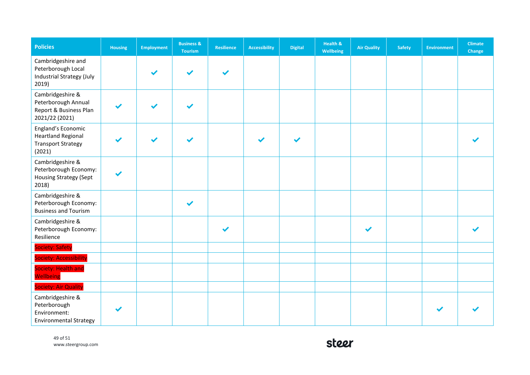| <b>Policies</b>                                                                        | <b>Housing</b> | <b>Employment</b> | <b>Business &amp;</b><br><b>Tourism</b> | Resilience | <b>Accessibility</b> | <b>Digital</b> | Health &<br>Wellbeing | <b>Air Quality</b> | <b>Safety</b> | <b>Environment</b> | <b>Climate</b><br>Change |
|----------------------------------------------------------------------------------------|----------------|-------------------|-----------------------------------------|------------|----------------------|----------------|-----------------------|--------------------|---------------|--------------------|--------------------------|
| Cambridgeshire and<br>Peterborough Local<br>Industrial Strategy (July<br>2019)         |                |                   | $\blacktriangledown$                    | ✔          |                      |                |                       |                    |               |                    |                          |
| Cambridgeshire &<br>Peterborough Annual<br>Report & Business Plan<br>2021/22 (2021)    |                |                   |                                         |            |                      |                |                       |                    |               |                    |                          |
| England's Economic<br><b>Heartland Regional</b><br><b>Transport Strategy</b><br>(2021) |                |                   | $\blacktriangleright$                   |            |                      |                |                       |                    |               |                    |                          |
| Cambridgeshire &<br>Peterborough Economy:<br>Housing Strategy (Sept<br>2018)           |                |                   |                                         |            |                      |                |                       |                    |               |                    |                          |
| Cambridgeshire &<br>Peterborough Economy:<br><b>Business and Tourism</b>               |                |                   | ✔                                       |            |                      |                |                       |                    |               |                    |                          |
| Cambridgeshire &<br>Peterborough Economy:<br>Resilience                                |                |                   |                                         |            |                      |                |                       |                    |               |                    |                          |
| Society: Safety                                                                        |                |                   |                                         |            |                      |                |                       |                    |               |                    |                          |
| Society: Accessibility                                                                 |                |                   |                                         |            |                      |                |                       |                    |               |                    |                          |
| Society: Health and<br><b>Wellbeing</b>                                                |                |                   |                                         |            |                      |                |                       |                    |               |                    |                          |
| <b>Society: Air Quality</b>                                                            |                |                   |                                         |            |                      |                |                       |                    |               |                    |                          |
| Cambridgeshire &<br>Peterborough<br>Environment:<br><b>Environmental Strategy</b>      |                |                   |                                         |            |                      |                |                       |                    |               |                    |                          |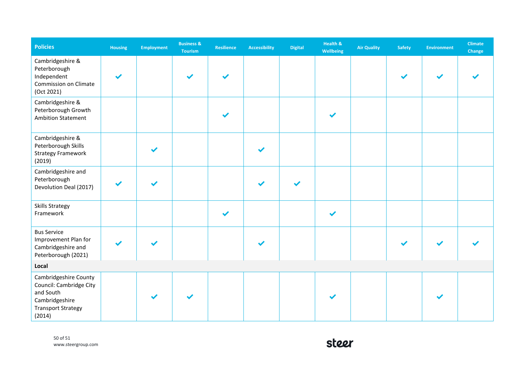| <b>Policies</b>                                                                                                        | Housing | <b>Employment</b> | <b>Business &amp;</b><br><b>Tourism</b> | Resilience   | <b>Accessibility</b>  | <b>Digital</b> | Health &<br>Wellbeing | <b>Air Quality</b> | <b>Safety</b> | <b>Environment</b> | <b>Climate</b><br>Change |
|------------------------------------------------------------------------------------------------------------------------|---------|-------------------|-----------------------------------------|--------------|-----------------------|----------------|-----------------------|--------------------|---------------|--------------------|--------------------------|
| Cambridgeshire &<br>Peterborough<br>Independent<br>Commission on Climate<br>(Oct 2021)                                 |         |                   |                                         |              |                       |                |                       |                    |               |                    |                          |
| Cambridgeshire &<br>Peterborough Growth<br><b>Ambition Statement</b>                                                   |         |                   |                                         | $\checkmark$ |                       |                |                       |                    |               |                    |                          |
| Cambridgeshire &<br>Peterborough Skills<br><b>Strategy Framework</b><br>(2019)                                         |         |                   |                                         |              |                       |                |                       |                    |               |                    |                          |
| Cambridgeshire and<br>Peterborough<br>Devolution Deal (2017)                                                           |         |                   |                                         |              | $\blacktriangleright$ |                |                       |                    |               |                    |                          |
| <b>Skills Strategy</b><br>Framework                                                                                    |         |                   |                                         | $\checkmark$ |                       |                | $\blacktriangledown$  |                    |               |                    |                          |
| <b>Bus Service</b><br>Improvement Plan for<br>Cambridgeshire and<br>Peterborough (2021)                                |         |                   |                                         |              | $\blacktriangleright$ |                |                       |                    |               |                    |                          |
| Local                                                                                                                  |         |                   |                                         |              |                       |                |                       |                    |               |                    |                          |
| Cambridgeshire County<br>Council: Cambridge City<br>and South<br>Cambridgeshire<br><b>Transport Strategy</b><br>(2014) |         |                   |                                         |              |                       |                |                       |                    |               |                    |                          |